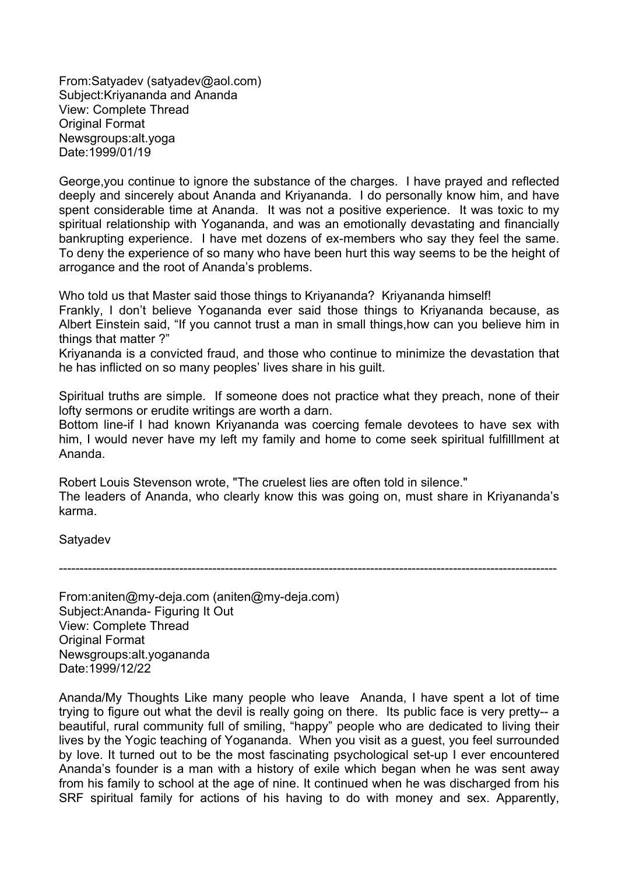From:Satyadev (satyadev@aol.com) Subject:Kriyananda and Ananda View: Complete Thread **Original Format** Newsgroups:alt.yoga Date:1999/01/19

George,you continue to ignore the substance of the charges. I have prayed and reflected deeply and sincerely about Ananda and Kriyananda. I do personally know him, and have spent considerable time at Ananda. It was not a positive experience. It was toxic to my spiritual relationship with Yogananda, and was an emotionally devastating and financially bankrupting experience. I have met dozens of ex-members who say they feel the same. To deny the experience of so many who have been hurt this way seems to be the height of arrogance and the root of Ananda's problems.

Who told us that Master said those things to Kriyananda? Kriyananda himself! Frankly, I don't believe Yogananda ever said those things to Kriyananda because, as Albert Einstein said, "If you cannot trust a man in small things,how can you believe him in things that matter ?"

Kriyananda is a convicted fraud, and those who continue to minimize the devastation that he has inflicted on so many peoples' lives share in his guilt.

Spiritual truths are simple. If someone does not practice what they preach, none of their lofty sermons or erudite writings are worth a darn.

Bottom line-if I had known Kriyananda was coercing female devotees to have sex with him, I would never have my left my family and home to come seek spiritual fulfilllment at Ananda.

Robert Louis Stevenson wrote, "The cruelest lies are often told in silence." The leaders of Ananda, who clearly know this was going on, must share in Kriyananda's karma.

Satyadev

------------------------------------------------------------------------------------------------------------------------

From:aniten@my-deja.com (aniten@my-deja.com) Subject:Ananda- Figuring It Out View: Complete Thread Original Format Newsgroups:alt.yogananda Date:1999/12/22

Ananda/My Thoughts Like many people who leave Ananda, I have spent a lot of time trying to figure out what the devil is really going on there. Its public face is very pretty-- a beautiful, rural community full of smiling, "happy" people who are dedicated to living their lives by the Yogic teaching of Yogananda. When you visit as a guest, you feel surrounded by love. It turned out to be the most fascinating psychological set-up I ever encountered Ananda's founder is a man with a history of exile which began when he was sent away from his family to school at the age of nine. It continued when he was discharged from his SRF spiritual family for actions of his having to do with money and sex. Apparently,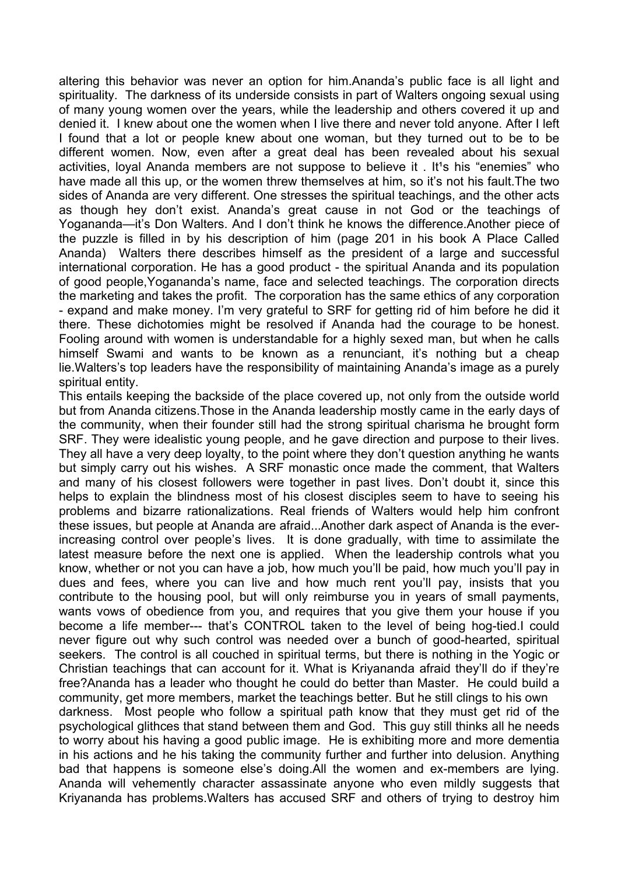altering this behavior was never an option for him.Ananda's public face is all light and spirituality. The darkness of its underside consists in part of Walters ongoing sexual using of many young women over the years, while the leadership and others covered it up and denied it. I knew about one the women when I live there and never told anyone. After I left I found that a lot or people knew about one woman, but they turned out to be to be different women. Now, even after a great deal has been revealed about his sexual activities, loyal Ananda members are not suppose to believe it . It<sup>1</sup>s his "enemies" who have made all this up, or the women threw themselves at him, so it's not his fault.The two sides of Ananda are very different. One stresses the spiritual teachings, and the other acts as though hey don't exist. Ananda's great cause in not God or the teachings of Yogananda—it's Don Walters. And I don't think he knows the difference.Another piece of the puzzle is filled in by his description of him (page 201 in his book A Place Called Ananda) Walters there describes himself as the president of a large and successful international corporation. He has a good product - the spiritual Ananda and its population of good people,Yogananda's name, face and selected teachings. The corporation directs the marketing and takes the profit. The corporation has the same ethics of any corporation - expand and make money. I'm very grateful to SRF for getting rid of him before he did it there. These dichotomies might be resolved if Ananda had the courage to be honest. Fooling around with women is understandable for a highly sexed man, but when he calls himself Swami and wants to be known as a renunciant, it's nothing but a cheap lie.Walters's top leaders have the responsibility of maintaining Ananda's image as a purely spiritual entity.

This entails keeping the backside of the place covered up, not only from the outside world but from Ananda citizens.Those in the Ananda leadership mostly came in the early days of the community, when their founder still had the strong spiritual charisma he brought form SRF. They were idealistic young people, and he gave direction and purpose to their lives. They all have a very deep loyalty, to the point where they don't question anything he wants but simply carry out his wishes. A SRF monastic once made the comment, that Walters and many of his closest followers were together in past lives. Don't doubt it, since this helps to explain the blindness most of his closest disciples seem to have to seeing his problems and bizarre rationalizations. Real friends of Walters would help him confront these issues, but people at Ananda are afraid...Another dark aspect of Ananda is the everincreasing control over people's lives. It is done gradually, with time to assimilate the latest measure before the next one is applied. When the leadership controls what you know, whether or not you can have a job, how much you'll be paid, how much you'll pay in dues and fees, where you can live and how much rent you'll pay, insists that you contribute to the housing pool, but will only reimburse you in years of small payments, wants vows of obedience from you, and requires that you give them your house if you become a life member--- that's CONTROL taken to the level of being hog-tied.I could never figure out why such control was needed over a bunch of good-hearted, spiritual seekers. The control is all couched in spiritual terms, but there is nothing in the Yogic or Christian teachings that can account for it. What is Kriyananda afraid they'll do if they're free?Ananda has a leader who thought he could do better than Master. He could build a community, get more members, market the teachings better. But he still clings to his own darkness. Most people who follow a spiritual path know that they must get rid of the psychological glithces that stand between them and God. This guy still thinks all he needs to worry about his having a good public image. He is exhibiting more and more dementia in his actions and he his taking the community further and further into delusion. Anything bad that happens is someone else's doing.All the women and ex-members are lying. Ananda will vehemently character assassinate anyone who even mildly suggests that Kriyananda has problems.Walters has accused SRF and others of trying to destroy him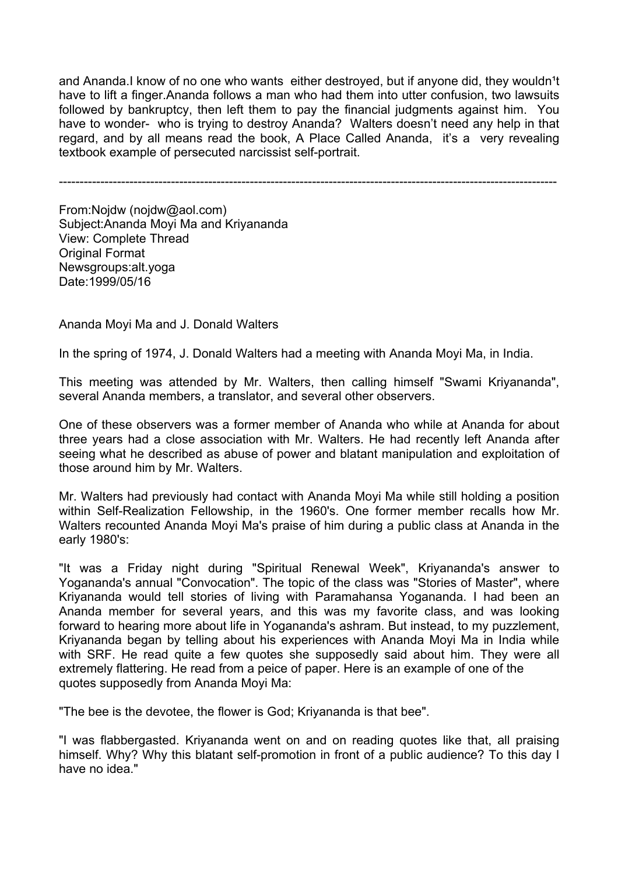and Ananda. I know of no one who wants either destroyed, but if anyone did, they wouldn<sup>1</sup>t have to lift a finger.Ananda follows a man who had them into utter confusion, two lawsuits followed by bankruptcy, then left them to pay the financial judgments against him. You have to wonder- who is trying to destroy Ananda? Walters doesn't need any help in that regard, and by all means read the book, A Place Called Ananda, it's a very revealing textbook example of persecuted narcissist self-portrait.

------------------------------------------------------------------------------------------------------------------------

From:Nojdw (nojdw@aol.com) Subject:Ananda Moyi Ma and Kriyananda View: Complete Thread Original Format Newsgroups:alt.yoga Date:1999/05/16

Ananda Moyi Ma and J. Donald Walters

In the spring of 1974, J. Donald Walters had a meeting with Ananda Moyi Ma, in India.

This meeting was attended by Mr. Walters, then calling himself "Swami Kriyananda", several Ananda members, a translator, and several other observers.

One of these observers was a former member of Ananda who while at Ananda for about three years had a close association with Mr. Walters. He had recently left Ananda after seeing what he described as abuse of power and blatant manipulation and exploitation of those around him by Mr. Walters.

Mr. Walters had previously had contact with Ananda Moyi Ma while still holding a position within Self-Realization Fellowship, in the 1960's. One former member recalls how Mr. Walters recounted Ananda Moyi Ma's praise of him during a public class at Ananda in the early 1980's:

"It was a Friday night during "Spiritual Renewal Week", Kriyananda's answer to Yogananda's annual "Convocation". The topic of the class was "Stories of Master", where Kriyananda would tell stories of living with Paramahansa Yogananda. I had been an Ananda member for several years, and this was my favorite class, and was looking forward to hearing more about life in Yogananda's ashram. But instead, to my puzzlement, Kriyananda began by telling about his experiences with Ananda Moyi Ma in India while with SRF. He read quite a few quotes she supposedly said about him. They were all extremely flattering. He read from a peice of paper. Here is an example of one of the quotes supposedly from Ananda Moyi Ma:

"The bee is the devotee, the flower is God; Kriyananda is that bee".

"I was flabbergasted. Kriyananda went on and on reading quotes like that, all praising himself. Why? Why this blatant self-promotion in front of a public audience? To this day I have no idea."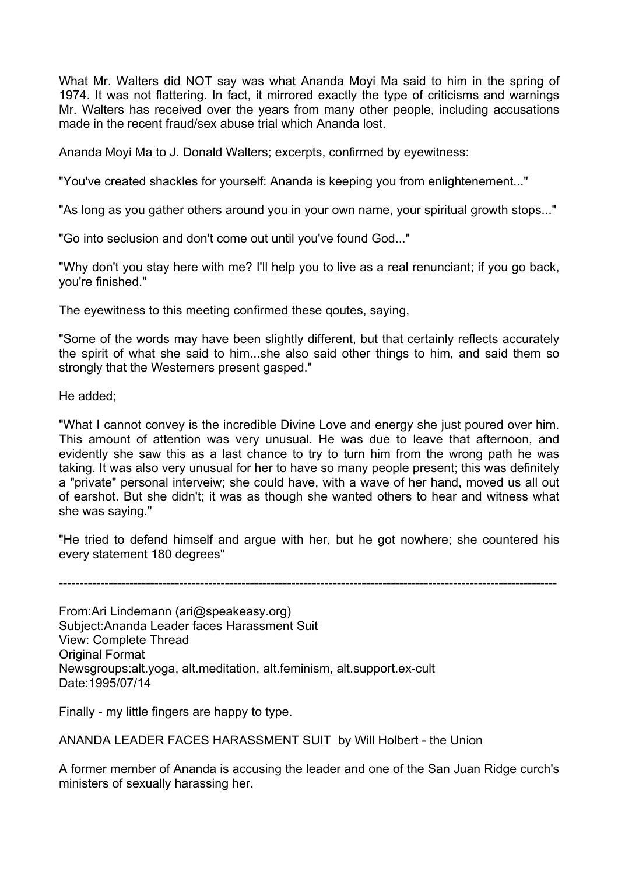What Mr. Walters did NOT say was what Ananda Moyi Ma said to him in the spring of 1974. It was not flattering. In fact, it mirrored exactly the type of criticisms and warnings Mr. Walters has received over the years from many other people, including accusations made in the recent fraud/sex abuse trial which Ananda lost.

Ananda Moyi Ma to J. Donald Walters; excerpts, confirmed by eyewitness:

"You've created shackles for yourself: Ananda is keeping you from enlightenement..."

"As long as you gather others around you in your own name, your spiritual growth stops..."

"Go into seclusion and don't come out until you've found God..."

"Why don't you stay here with me? I'll help you to live as a real renunciant; if you go back, you're finished."

The eyewitness to this meeting confirmed these qoutes, saying,

"Some of the words may have been slightly different, but that certainly reflects accurately the spirit of what she said to him...she also said other things to him, and said them so strongly that the Westerners present gasped."

He added;

"What I cannot convey is the incredible Divine Love and energy she just poured over him. This amount of attention was very unusual. He was due to leave that afternoon, and evidently she saw this as a last chance to try to turn him from the wrong path he was taking. It was also very unusual for her to have so many people present; this was definitely a "private" personal interveiw; she could have, with a wave of her hand, moved us all out of earshot. But she didn't; it was as though she wanted others to hear and witness what she was saying."

"He tried to defend himself and argue with her, but he got nowhere; she countered his every statement 180 degrees"

------------------------------------------------------------------------------------------------------------------------

From:Ari Lindemann (ari@speakeasy.org) Subject:Ananda Leader faces Harassment Suit View: Complete Thread **Original Format** Newsgroups:alt.yoga, alt.meditation, alt.feminism, alt.support.ex-cult Date:1995/07/14

Finally - my little fingers are happy to type.

ANANDA LEADER FACES HARASSMENT SUIT by Will Holbert - the Union

A former member of Ananda is accusing the leader and one of the San Juan Ridge curch's ministers of sexually harassing her.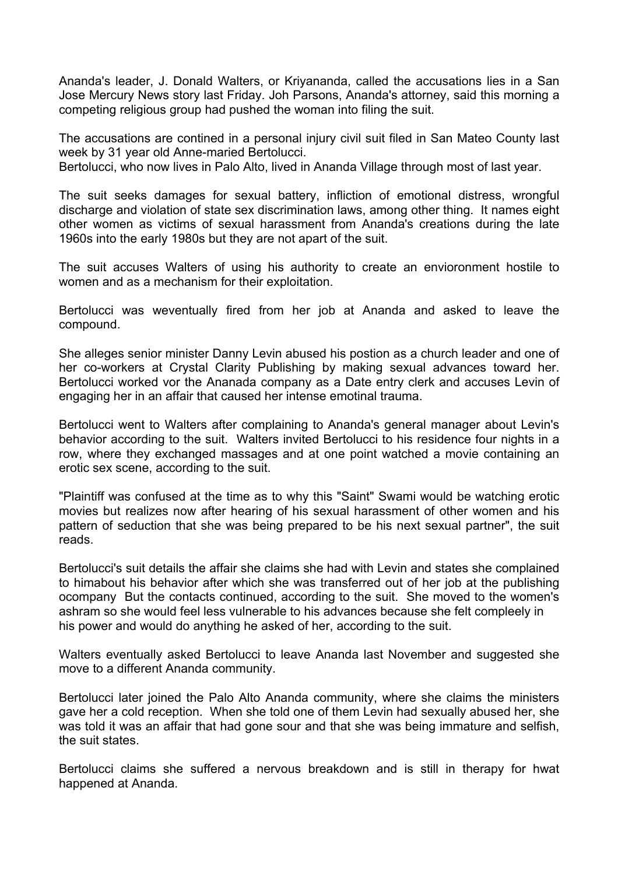Ananda's leader, J. Donald Walters, or Kriyananda, called the accusations lies in a San Jose Mercury News story last Friday. Joh Parsons, Ananda's attorney, said this morning a competing religious group had pushed the woman into filing the suit.

The accusations are contined in a personal injury civil suit filed in San Mateo County last week by 31 year old Anne-maried Bertolucci.

Bertolucci, who now lives in Palo Alto, lived in Ananda Village through most of last year.

The suit seeks damages for sexual battery, infliction of emotional distress, wrongful discharge and violation of state sex discrimination laws, among other thing. It names eight other women as victims of sexual harassment from Ananda's creations during the late 1960s into the early 1980s but they are not apart of the suit.

The suit accuses Walters of using his authority to create an envioronment hostile to women and as a mechanism for their exploitation.

Bertolucci was weventually fired from her job at Ananda and asked to leave the compound.

She alleges senior minister Danny Levin abused his postion as a church leader and one of her co-workers at Crystal Clarity Publishing by making sexual advances toward her. Bertolucci worked vor the Ananada company as a Date entry clerk and accuses Levin of engaging her in an affair that caused her intense emotinal trauma.

Bertolucci went to Walters after complaining to Ananda's general manager about Levin's behavior according to the suit. Walters invited Bertolucci to his residence four nights in a row, where they exchanged massages and at one point watched a movie containing an erotic sex scene, according to the suit.

"Plaintiff was confused at the time as to why this "Saint" Swami would be watching erotic movies but realizes now after hearing of his sexual harassment of other women and his pattern of seduction that she was being prepared to be his next sexual partner", the suit reads.

Bertolucci's suit details the affair she claims she had with Levin and states she complained to himabout his behavior after which she was transferred out of her job at the publishing ocompany But the contacts continued, according to the suit. She moved to the women's ashram so she would feel less vulnerable to his advances because she felt compleely in his power and would do anything he asked of her, according to the suit.

Walters eventually asked Bertolucci to leave Ananda last November and suggested she move to a different Ananda community.

Bertolucci later joined the Palo Alto Ananda community, where she claims the ministers gave her a cold reception. When she told one of them Levin had sexually abused her, she was told it was an affair that had gone sour and that she was being immature and selfish, the suit states.

Bertolucci claims she suffered a nervous breakdown and is still in therapy for hwat happened at Ananda.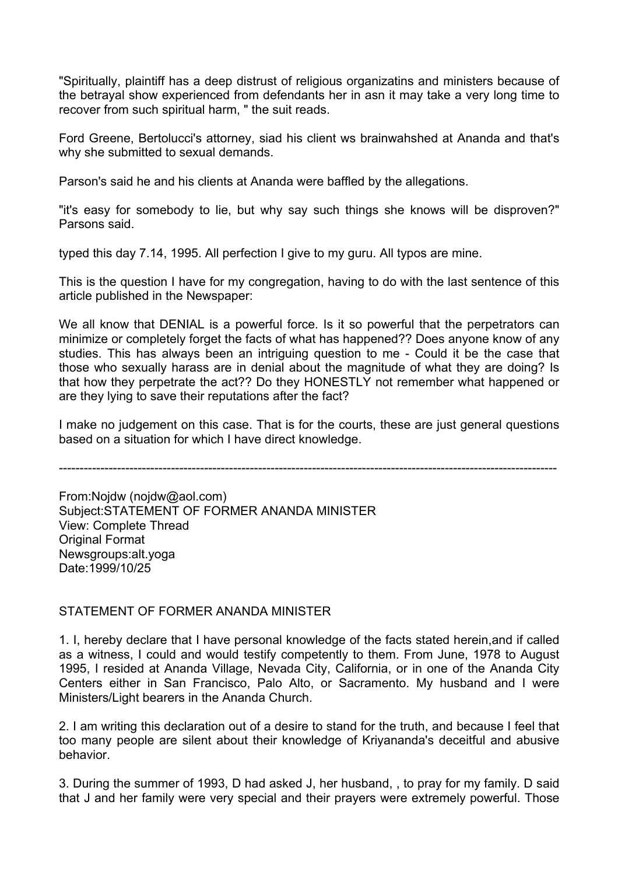"Spiritually, plaintiff has a deep distrust of religious organizatins and ministers because of the betrayal show experienced from defendants her in asn it may take a very long time to recover from such spiritual harm, " the suit reads.

Ford Greene, Bertolucci's attorney, siad his client ws brainwahshed at Ananda and that's why she submitted to sexual demands.

Parson's said he and his clients at Ananda were baffled by the allegations.

"it's easy for somebody to lie, but why say such things she knows will be disproven?" Parsons said.

typed this day 7.14, 1995. All perfection I give to my guru. All typos are mine.

This is the question I have for my congregation, having to do with the last sentence of this article published in the Newspaper:

We all know that DENIAL is a powerful force. Is it so powerful that the perpetrators can minimize or completely forget the facts of what has happened?? Does anyone know of any studies. This has always been an intriguing question to me - Could it be the case that those who sexually harass are in denial about the magnitude of what they are doing? Is that how they perpetrate the act?? Do they HONESTLY not remember what happened or are they lying to save their reputations after the fact?

I make no judgement on this case. That is for the courts, these are just general questions based on a situation for which I have direct knowledge.

------------------------------------------------------------------------------------------------------------------------

From:Nojdw (nojdw@aol.com) Subject:STATEMENT OF FORMER ANANDA MINISTER View: Complete Thread Original Format Newsgroups:alt.yoga Date:1999/10/25

# STATEMENT OF FORMER ANANDA MINISTER

1. I, hereby declare that I have personal knowledge of the facts stated herein,and if called as a witness, I could and would testify competently to them. From June, 1978 to August 1995, I resided at Ananda Village, Nevada City, California, or in one of the Ananda City Centers either in San Francisco, Palo Alto, or Sacramento. My husband and I were Ministers/Light bearers in the Ananda Church.

2. I am writing this declaration out of a desire to stand for the truth, and because I feel that too many people are silent about their knowledge of Kriyananda's deceitful and abusive behavior.

3. During the summer of 1993, D had asked J, her husband, , to pray for my family. D said that J and her family were very special and their prayers were extremely powerful. Those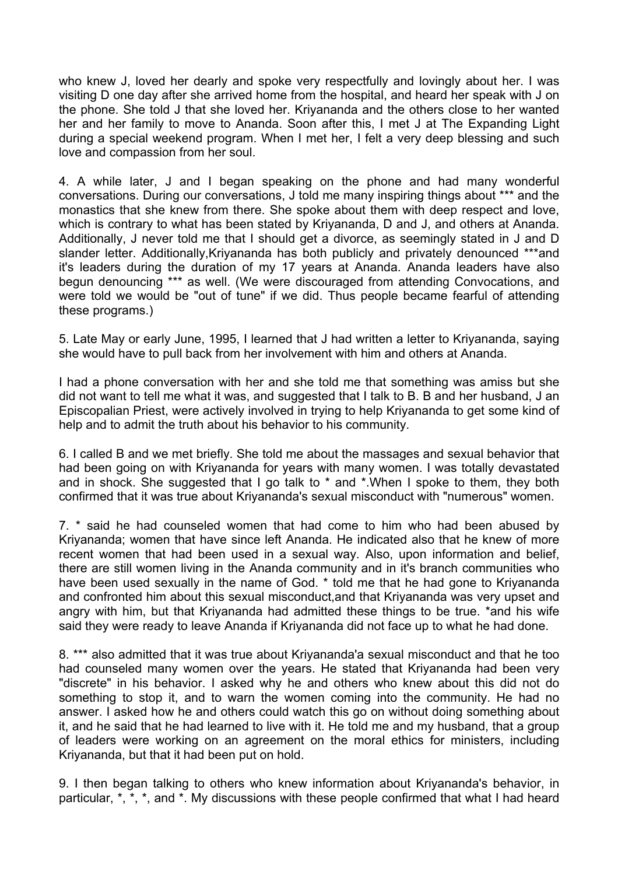who knew J, loved her dearly and spoke very respectfully and lovingly about her. I was visiting D one day after she arrived home from the hospital, and heard her speak with J on the phone. She told J that she loved her. Kriyananda and the others close to her wanted her and her family to move to Ananda. Soon after this, I met J at The Expanding Light during a special weekend program. When I met her, I felt a very deep blessing and such love and compassion from her soul.

4. A while later, J and I began speaking on the phone and had many wonderful conversations. During our conversations, J told me many inspiring things about \*\*\* and the monastics that she knew from there. She spoke about them with deep respect and love, which is contrary to what has been stated by Kriyananda, D and J, and others at Ananda. Additionally, J never told me that I should get a divorce, as seemingly stated in J and D slander letter. Additionally, Kriyananda has both publicly and privately denounced \*\*\*and it's leaders during the duration of my 17 years at Ananda. Ananda leaders have also begun denouncing \*\*\* as well. (We were discouraged from attending Convocations, and were told we would be "out of tune" if we did. Thus people became fearful of attending these programs.)

5. Late May or early June, 1995, I learned that J had written a letter to Kriyananda, saying she would have to pull back from her involvement with him and others at Ananda.

I had a phone conversation with her and she told me that something was amiss but she did not want to tell me what it was, and suggested that I talk to B. B and her husband, J an Episcopalian Priest, were actively involved in trying to help Kriyananda to get some kind of help and to admit the truth about his behavior to his community.

6. I called B and we met briefly. She told me about the massages and sexual behavior that had been going on with Kriyananda for years with many women. I was totally devastated and in shock. She suggested that I go talk to \* and \*.When I spoke to them, they both confirmed that it was true about Kriyananda's sexual misconduct with "numerous" women.

7. \* said he had counseled women that had come to him who had been abused by Kriyananda; women that have since left Ananda. He indicated also that he knew of more recent women that had been used in a sexual way. Also, upon information and belief, there are still women living in the Ananda community and in it's branch communities who have been used sexually in the name of God. \* told me that he had gone to Kriyananda and confronted him about this sexual misconduct,and that Kriyananda was very upset and angry with him, but that Kriyananda had admitted these things to be true. \*and his wife said they were ready to leave Ananda if Kriyananda did not face up to what he had done.

8. \*\*\* also admitted that it was true about Kriyananda'a sexual misconduct and that he too had counseled many women over the years. He stated that Kriyananda had been very "discrete" in his behavior. I asked why he and others who knew about this did not do something to stop it, and to warn the women coming into the community. He had no answer. I asked how he and others could watch this go on without doing something about it, and he said that he had learned to live with it. He told me and my husband, that a group of leaders were working on an agreement on the moral ethics for ministers, including Kriyananda, but that it had been put on hold.

9. I then began talking to others who knew information about Kriyananda's behavior, in particular, \*, \*, \*, and \*. My discussions with these people confirmed that what I had heard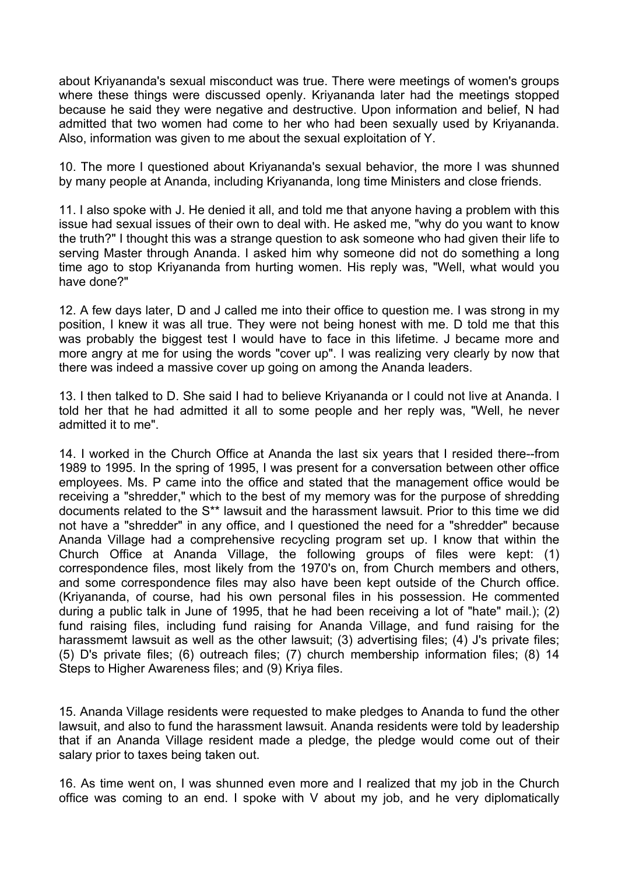about Kriyananda's sexual misconduct was true. There were meetings of women's groups where these things were discussed openly. Kriyananda later had the meetings stopped because he said they were negative and destructive. Upon information and belief, N had admitted that two women had come to her who had been sexually used by Kriyananda. Also, information was given to me about the sexual exploitation of Y.

10. The more I questioned about Kriyananda's sexual behavior, the more I was shunned by many people at Ananda, including Kriyananda, long time Ministers and close friends.

11. I also spoke with J. He denied it all, and told me that anyone having a problem with this issue had sexual issues of their own to deal with. He asked me, "why do you want to know the truth?" I thought this was a strange question to ask someone who had given their life to serving Master through Ananda. I asked him why someone did not do something a long time ago to stop Kriyananda from hurting women. His reply was, "Well, what would you have done?"

12. A few days later, D and J called me into their office to question me. I was strong in my position, I knew it was all true. They were not being honest with me. D told me that this was probably the biggest test I would have to face in this lifetime. J became more and more angry at me for using the words "cover up". I was realizing very clearly by now that there was indeed a massive cover up going on among the Ananda leaders.

13. I then talked to D. She said I had to believe Kriyananda or I could not live at Ananda. I told her that he had admitted it all to some people and her reply was, "Well, he never admitted it to me".

14. I worked in the Church Office at Ananda the last six years that I resided there--from 1989 to 1995. In the spring of 1995, I was present for a conversation between other office employees. Ms. P came into the office and stated that the management office would be receiving a "shredder," which to the best of my memory was for the purpose of shredding documents related to the S\*\* lawsuit and the harassment lawsuit. Prior to this time we did not have a "shredder" in any office, and I questioned the need for a "shredder" because Ananda Village had a comprehensive recycling program set up. I know that within the Church Office at Ananda Village, the following groups of files were kept: (1) correspondence files, most likely from the 1970's on, from Church members and others, and some correspondence files may also have been kept outside of the Church office. (Kriyananda, of course, had his own personal files in his possession. He commented during a public talk in June of 1995, that he had been receiving a lot of "hate" mail.); (2) fund raising files, including fund raising for Ananda Village, and fund raising for the harassmemt lawsuit as well as the other lawsuit; (3) advertising files; (4) J's private files; (5) D's private files; (6) outreach files; (7) church membership information files; (8) 14 Steps to Higher Awareness files; and (9) Kriya files.

15. Ananda Village residents were requested to make pledges to Ananda to fund the other lawsuit, and also to fund the harassment lawsuit. Ananda residents were told by leadership that if an Ananda Village resident made a pledge, the pledge would come out of their salary prior to taxes being taken out.

16. As time went on, I was shunned even more and I realized that my job in the Church office was coming to an end. I spoke with V about my job, and he very diplomatically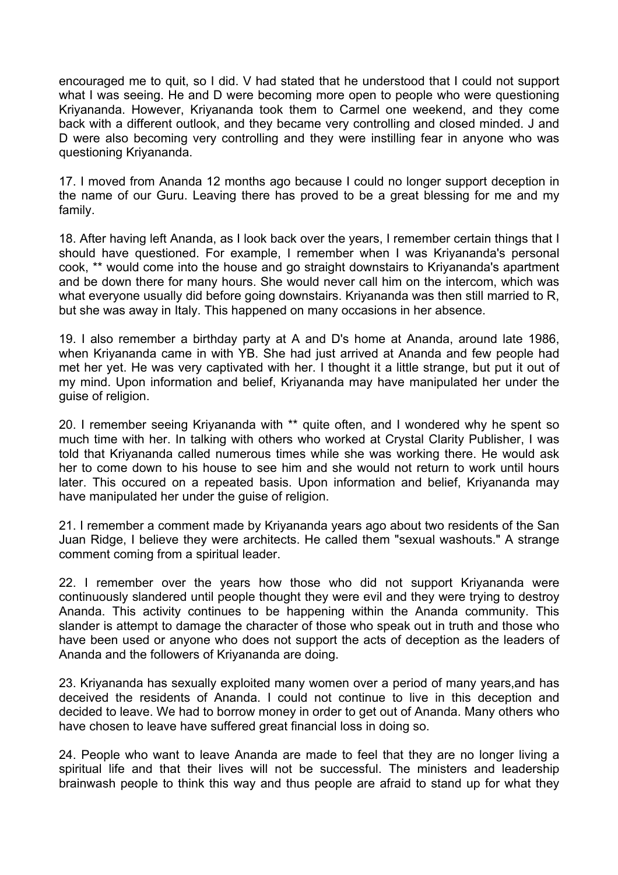encouraged me to quit, so I did. V had stated that he understood that I could not support what I was seeing. He and D were becoming more open to people who were questioning Kriyananda. However, Kriyananda took them to Carmel one weekend, and they come back with a different outlook, and they became very controlling and closed minded. J and D were also becoming very controlling and they were instilling fear in anyone who was questioning Kriyananda.

17. I moved from Ananda 12 months ago because I could no longer support deception in the name of our Guru. Leaving there has proved to be a great blessing for me and my family.

18. After having left Ananda, as I look back over the years, I remember certain things that I should have questioned. For example, I remember when I was Kriyananda's personal cook, \*\* would come into the house and go straight downstairs to Kriyananda's apartment and be down there for many hours. She would never call him on the intercom, which was what everyone usually did before going downstairs. Kriyananda was then still married to R, but she was away in Italy. This happened on many occasions in her absence.

19. I also remember a birthday party at A and D's home at Ananda, around late 1986, when Kriyananda came in with YB. She had just arrived at Ananda and few people had met her yet. He was very captivated with her. I thought it a little strange, but put it out of my mind. Upon information and belief, Kriyananda may have manipulated her under the guise of religion.

20. I remember seeing Kriyananda with \*\* quite often, and I wondered why he spent so much time with her. In talking with others who worked at Crystal Clarity Publisher, I was told that Kriyananda called numerous times while she was working there. He would ask her to come down to his house to see him and she would not return to work until hours later. This occured on a repeated basis. Upon information and belief, Kriyananda may have manipulated her under the guise of religion.

21. I remember a comment made by Kriyananda years ago about two residents of the San Juan Ridge, I believe they were architects. He called them "sexual washouts." A strange comment coming from a spiritual leader.

22. I remember over the years how those who did not support Kriyananda were continuously slandered until people thought they were evil and they were trying to destroy Ananda. This activity continues to be happening within the Ananda community. This slander is attempt to damage the character of those who speak out in truth and those who have been used or anyone who does not support the acts of deception as the leaders of Ananda and the followers of Kriyananda are doing.

23. Kriyananda has sexually exploited many women over a period of many years,and has deceived the residents of Ananda. I could not continue to live in this deception and decided to leave. We had to borrow money in order to get out of Ananda. Many others who have chosen to leave have suffered great financial loss in doing so.

24. People who want to leave Ananda are made to feel that they are no longer living a spiritual life and that their lives will not be successful. The ministers and leadership brainwash people to think this way and thus people are afraid to stand up for what they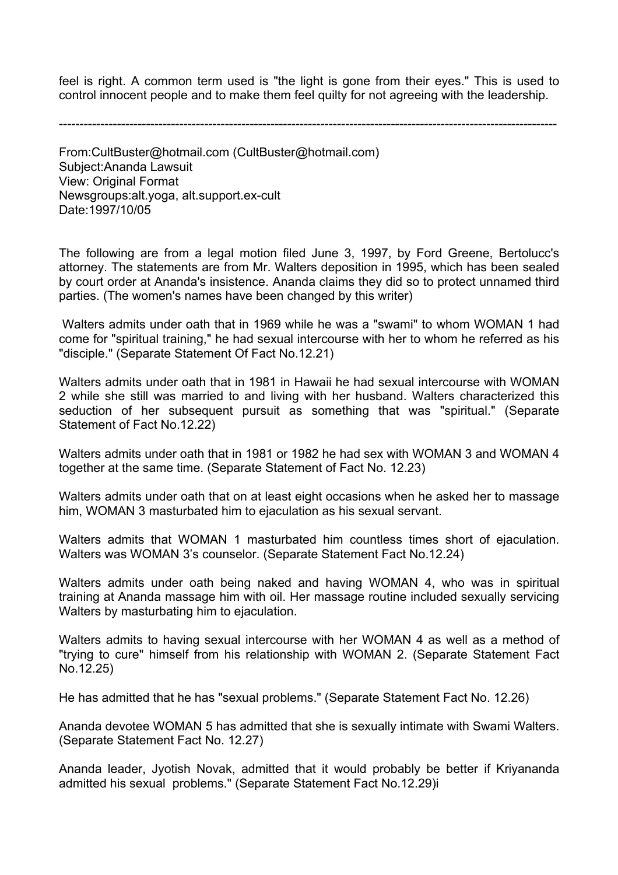feel is right. A common term used is "the light is gone from their eyes." This is used to control innocent people and to make them feel quilty for not agreeing with the leadership.

------------------------------------------------------------------------------------------------------------------------

From:CultBuster@hotmail.com (CultBuster@hotmail.com) Subject:Ananda Lawsuit View: Original Format Newsgroups:alt.yoga, alt.support.ex-cult Date:1997/10/05

The following are from a legal motion filed June 3, 1997, by Ford Greene, Bertolucc's attorney. The statements are from Mr. Walters deposition in 1995, which has been sealed by court order at Ananda's insistence. Ananda claims they did so to protect unnamed third parties. (The women's names have been changed by this writer)

 Walters admits under oath that in 1969 while he was a "swami" to whom WOMAN 1 had come for "spiritual training," he had sexual intercourse with her to whom he referred as his "disciple." (Separate Statement Of Fact No.12.21)

Walters admits under oath that in 1981 in Hawaii he had sexual intercourse with WOMAN 2 while she still was married to and living with her husband. Walters characterized this seduction of her subsequent pursuit as something that was "spiritual." (Separate Statement of Fact No.12.22)

Walters admits under oath that in 1981 or 1982 he had sex with WOMAN 3 and WOMAN 4 together at the same time. (Separate Statement of Fact No. 12.23)

Walters admits under oath that on at least eight occasions when he asked her to massage him, WOMAN 3 masturbated him to ejaculation as his sexual servant.

Walters admits that WOMAN 1 masturbated him countless times short of ejaculation. Walters was WOMAN 3's counselor. (Separate Statement Fact No.12.24)

Walters admits under oath being naked and having WOMAN 4, who was in spiritual training at Ananda massage him with oil. Her massage routine included sexually servicing Walters by masturbating him to ejaculation.

Walters admits to having sexual intercourse with her WOMAN 4 as well as a method of "trying to cure" himself from his relationship with WOMAN 2. (Separate Statement Fact No.12.25)

He has admitted that he has "sexual problems." (Separate Statement Fact No. 12.26)

Ananda devotee WOMAN 5 has admitted that she is sexually intimate with Swami Walters. (Separate Statement Fact No. 12.27)

Ananda leader, Jyotish Novak, admitted that it would probably be better if Kriyananda admitted his sexual problems." (Separate Statement Fact No.12.29)i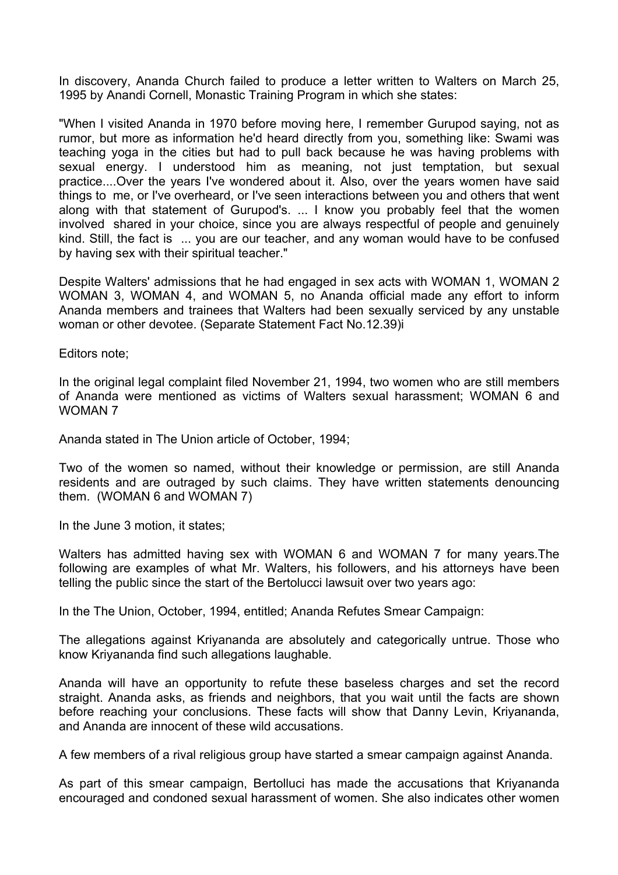In discovery, Ananda Church failed to produce a letter written to Walters on March 25, 1995 by Anandi Cornell, Monastic Training Program in which she states:

"When I visited Ananda in 1970 before moving here, I remember Gurupod saying, not as rumor, but more as information he'd heard directly from you, something like: Swami was teaching yoga in the cities but had to pull back because he was having problems with sexual energy. I understood him as meaning, not just temptation, but sexual practice....Over the years I've wondered about it. Also, over the years women have said things to me, or I've overheard, or I've seen interactions between you and others that went along with that statement of Gurupod's. ... I know you probably feel that the women involved shared in your choice, since you are always respectful of people and genuinely kind. Still, the fact is ... you are our teacher, and any woman would have to be confused by having sex with their spiritual teacher."

Despite Walters' admissions that he had engaged in sex acts with WOMAN 1, WOMAN 2 WOMAN 3, WOMAN 4, and WOMAN 5, no Ananda official made any effort to inform Ananda members and trainees that Walters had been sexually serviced by any unstable woman or other devotee. (Separate Statement Fact No.12.39)i

Editors note;

In the original legal complaint filed November 21, 1994, two women who are still members of Ananda were mentioned as victims of Walters sexual harassment; WOMAN 6 and WOMAN 7

Ananda stated in The Union article of October, 1994;

Two of the women so named, without their knowledge or permission, are still Ananda residents and are outraged by such claims. They have written statements denouncing them. (WOMAN 6 and WOMAN 7)

In the June 3 motion, it states;

Walters has admitted having sex with WOMAN 6 and WOMAN 7 for many years.The following are examples of what Mr. Walters, his followers, and his attorneys have been telling the public since the start of the Bertolucci lawsuit over two years ago:

In the The Union, October, 1994, entitled; Ananda Refutes Smear Campaign:

The allegations against Kriyananda are absolutely and categorically untrue. Those who know Kriyananda find such allegations laughable.

Ananda will have an opportunity to refute these baseless charges and set the record straight. Ananda asks, as friends and neighbors, that you wait until the facts are shown before reaching your conclusions. These facts will show that Danny Levin, Kriyananda, and Ananda are innocent of these wild accusations.

A few members of a rival religious group have started a smear campaign against Ananda.

As part of this smear campaign, Bertolluci has made the accusations that Kriyananda encouraged and condoned sexual harassment of women. She also indicates other women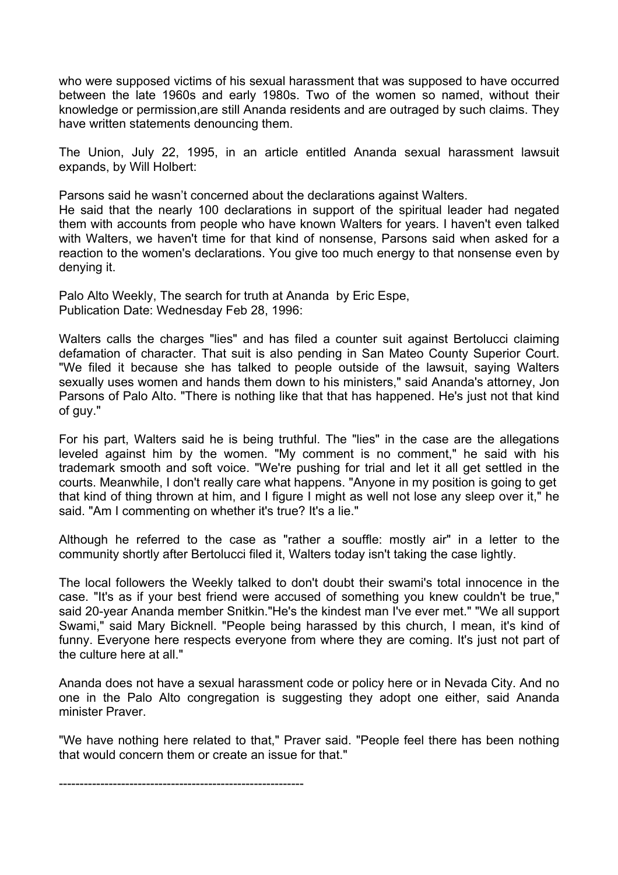who were supposed victims of his sexual harassment that was supposed to have occurred between the late 1960s and early 1980s. Two of the women so named, without their knowledge or permission,are still Ananda residents and are outraged by such claims. They have written statements denouncing them.

The Union, July 22, 1995, in an article entitled Ananda sexual harassment lawsuit expands, by Will Holbert:

Parsons said he wasn't concerned about the declarations against Walters.

He said that the nearly 100 declarations in support of the spiritual leader had negated them with accounts from people who have known Walters for years. I haven't even talked with Walters, we haven't time for that kind of nonsense, Parsons said when asked for a reaction to the women's declarations. You give too much energy to that nonsense even by denying it.

Palo Alto Weekly, The search for truth at Ananda by Eric Espe, Publication Date: Wednesday Feb 28, 1996:

Walters calls the charges "lies" and has filed a counter suit against Bertolucci claiming defamation of character. That suit is also pending in San Mateo County Superior Court. "We filed it because she has talked to people outside of the lawsuit, saying Walters sexually uses women and hands them down to his ministers," said Ananda's attorney, Jon Parsons of Palo Alto. "There is nothing like that that has happened. He's just not that kind of guy."

For his part, Walters said he is being truthful. The "lies" in the case are the allegations leveled against him by the women. "My comment is no comment," he said with his trademark smooth and soft voice. "We're pushing for trial and let it all get settled in the courts. Meanwhile, I don't really care what happens. "Anyone in my position is going to get that kind of thing thrown at him, and I figure I might as well not lose any sleep over it," he said. "Am I commenting on whether it's true? It's a lie."

Although he referred to the case as "rather a souffle: mostly air" in a letter to the community shortly after Bertolucci filed it, Walters today isn't taking the case lightly.

The local followers the Weekly talked to don't doubt their swami's total innocence in the case. "It's as if your best friend were accused of something you knew couldn't be true," said 20-year Ananda member Snitkin."He's the kindest man I've ever met." "We all support Swami," said Mary Bicknell. "People being harassed by this church, I mean, it's kind of funny. Everyone here respects everyone from where they are coming. It's just not part of the culture here at all."

Ananda does not have a sexual harassment code or policy here or in Nevada City. And no one in the Palo Alto congregation is suggesting they adopt one either, said Ananda minister Praver.

"We have nothing here related to that," Praver said. "People feel there has been nothing that would concern them or create an issue for that."

-----------------------------------------------------------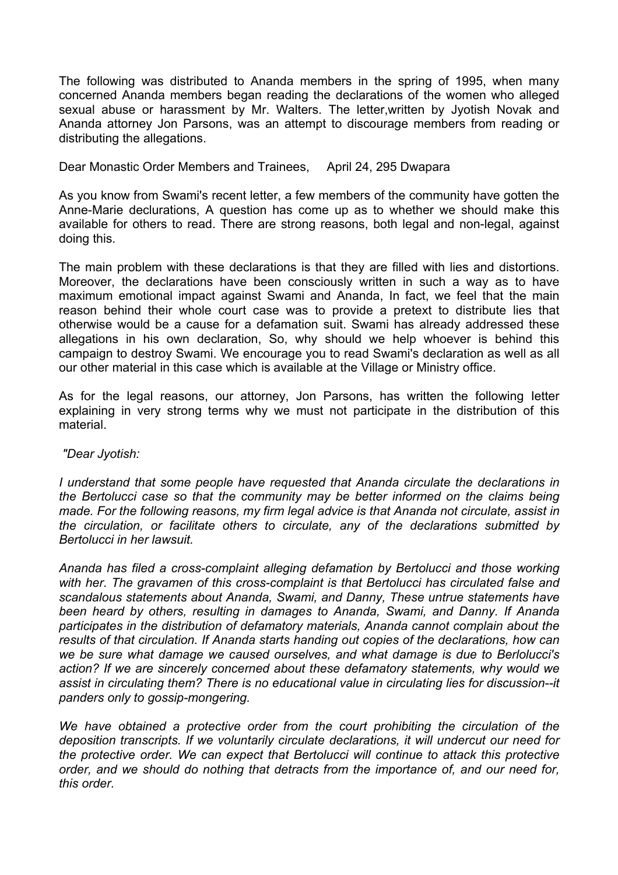The following was distributed to Ananda members in the spring of 1995, when many concerned Ananda members began reading the declarations of the women who alleged sexual abuse or harassment by Mr. Walters. The letter,written by Jyotish Novak and Ananda attorney Jon Parsons, was an attempt to discourage members from reading or distributing the allegations.

Dear Monastic Order Members and Trainees, April 24, 295 Dwapara

As you know from Swami's recent letter, a few members of the community have gotten the Anne-Marie declurations, A question has come up as to whether we should make this available for others to read. There are strong reasons, both legal and non-legal, against doing this.

The main problem with these declarations is that they are filled with lies and distortions. Moreover, the declarations have been consciously written in such a way as to have maximum emotional impact against Swami and Ananda, In fact, we feel that the main reason behind their whole court case was to provide a pretext to distribute lies that otherwise would be a cause for a defamation suit. Swami has already addressed these allegations in his own declaration, So, why should we help whoever is behind this campaign to destroy Swami. We encourage you to read Swami's declaration as well as all our other material in this case which is available at the Village or Ministry office.

As for the legal reasons, our attorney, Jon Parsons, has written the following Ietter explaining in very strong terms why we must not participate in the distribution of this material.

 *"Dear Jyotish:* 

*I understand that some people have requested that Ananda circulate the declarations in the Bertolucci case so that the community may be better informed on the claims being made. For the following reasons, my firm legal advice is that Ananda not circulate, assist in the circulation, or facilitate others to circulate, any of the declarations submitted by Bertolucci in her lawsuit.* 

*Ananda has filed a cross-complaint alleging defamation by Bertolucci and those working with her. The gravamen of this cross-complaint is that Bertolucci has circulated false and scandalous statements about Ananda, Swami, and Danny, These untrue statements have been heard by others, resulting in damages to Ananda, Swami, and Danny. If Ananda participates in the distribution of defamatory materials, Ananda cannot complain about the results of that circulation. If Ananda starts handing out copies of the declarations, how can we be sure what damage we caused ourselves, and what damage is due to Berlolucci's action? If we are sincerely concerned about these defamatory statements, why would we assist in circulating them? There is no educational value in circulating lies for discussion--it panders only to gossip-mongering.* 

*We have obtained a protective order from the court prohibiting the circulation of the deposition transcripts. If we voluntarily circulate declarations, it will undercut our need for the protective order. We can expect that Bertolucci will continue to attack this protective order, and we should do nothing that detracts from the importance of, and our need for, this order.*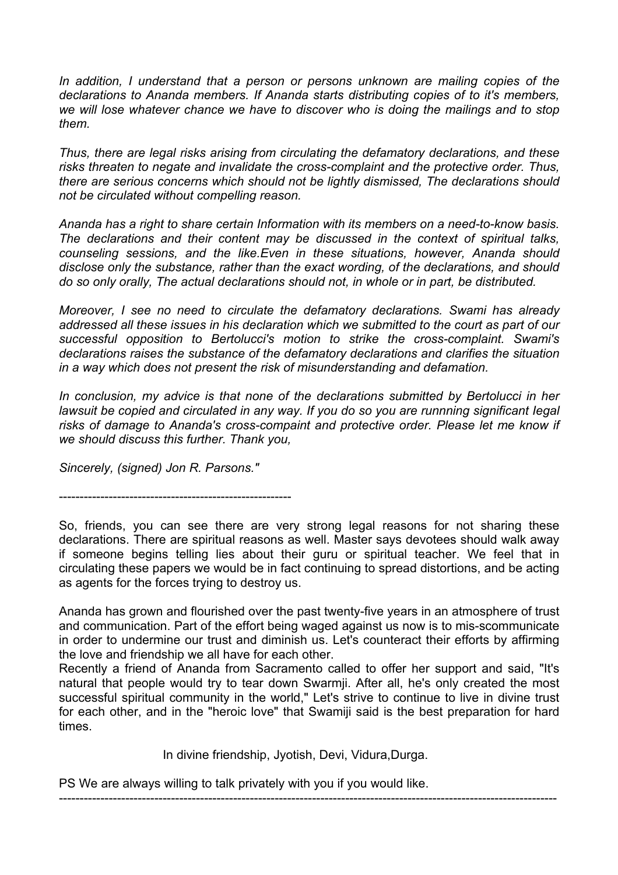*In addition, I understand that a person or persons unknown are mailing copies of the declarations to Ananda members. If Ananda starts distributing copies of to it's members, we will lose whatever chance we have to discover who is doing the mailings and to stop them.* 

*Thus, there are legal risks arising from circulating the defamatory declarations, and these risks threaten to negate and invalidate the cross-complaint and the protective order. Thus, there are serious concerns which should not be lightly dismissed, The declarations should not be circulated without compelling reason.* 

*Ananda has a right to share certain Information with its members on a need-to-know basis. The declarations and their content may be discussed in the context of spiritual talks, counseling sessions, and the like.Even in these situations, however, Ananda should disclose only the substance, rather than the exact wording, of the declarations, and should do so only orally, The actual declarations should not, in whole or in part, be distributed.* 

*Moreover, I see no need to circulate the defamatory declarations. Swami has already addressed all these issues in his declaration which we submitted to the court as part of our successful opposition to Bertolucci's motion to strike the cross-complaint. Swami's declarations raises the substance of the defamatory declarations and clarifies the situation in a way which does not present the risk of misunderstanding and defamation.* 

*In conclusion, my advice is that none of the declarations submitted by Bertolucci in her lawsuit be copied and circulated in any way. If you do so you are runnning significant Iegal risks of damage to Ananda's cross-compaint and protective order. Please let me know if we should discuss this further. Thank you,* 

*Sincerely, (signed) Jon R. Parsons."*

--------------------------------------------------------

So, friends, you can see there are very strong legal reasons for not sharing these declarations. There are spiritual reasons as well. Master says devotees should walk away if someone begins telling lies about their guru or spiritual teacher. We feel that in circulating these papers we would be in fact continuing to spread distortions, and be acting as agents for the forces trying to destroy us.

Ananda has grown and flourished over the past twenty-five years in an atmosphere of trust and communication. Part of the effort being waged against us now is to mis-scommunicate in order to undermine our trust and diminish us. Let's counteract their efforts by affirming the love and friendship we all have for each other.

Recently a friend of Ananda from Sacramento called to offer her support and said, "It's natural that people would try to tear down Swarmji. After all, he's only created the most successful spiritual community in the world," Let's strive to continue to live in divine trust for each other, and in the "heroic love" that Swamiji said is the best preparation for hard times.

In divine friendship, Jyotish, Devi, Vidura,Durga.

------------------------------------------------------------------------------------------------------------------------

PS We are always willing to talk privately with you if you would like.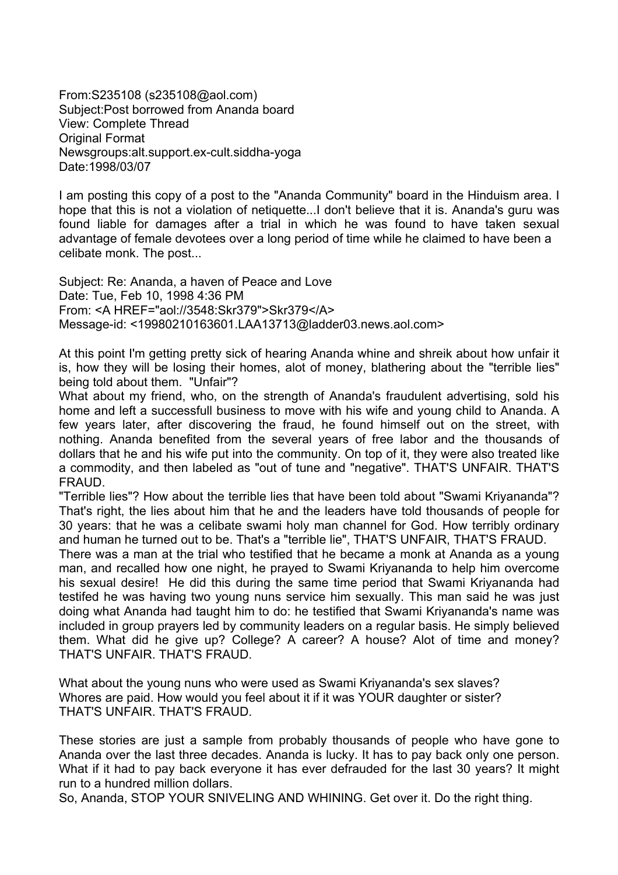From:S235108 (s235108@aol.com) Subject:Post borrowed from Ananda board View: Complete Thread Original Format Newsgroups:alt.support.ex-cult.siddha-yoga Date:1998/03/07

I am posting this copy of a post to the "Ananda Community" board in the Hinduism area. I hope that this is not a violation of netiquette...I don't believe that it is. Ananda's guru was found liable for damages after a trial in which he was found to have taken sexual advantage of female devotees over a long period of time while he claimed to have been a celibate monk. The post...

Subject: Re: Ananda, a haven of Peace and Love Date: Tue, Feb 10, 1998 4:36 PM From: <A HREF="aol://3548:Skr379">Skr379</A> Message-id: <19980210163601.LAA13713@ladder03.news.aol.com>

At this point I'm getting pretty sick of hearing Ananda whine and shreik about how unfair it is, how they will be losing their homes, alot of money, blathering about the "terrible lies" being told about them. "Unfair"?

What about my friend, who, on the strength of Ananda's fraudulent advertising, sold his home and left a successfull business to move with his wife and young child to Ananda. A few years later, after discovering the fraud, he found himself out on the street, with nothing. Ananda benefited from the several years of free labor and the thousands of dollars that he and his wife put into the community. On top of it, they were also treated like a commodity, and then labeled as "out of tune and "negative". THAT'S UNFAIR. THAT'S FRAUD.

"Terrible lies"? How about the terrible lies that have been told about "Swami Kriyananda"? That's right, the lies about him that he and the leaders have told thousands of people for 30 years: that he was a celibate swami holy man channel for God. How terribly ordinary and human he turned out to be. That's a "terrible lie", THAT'S UNFAIR, THAT'S FRAUD.

There was a man at the trial who testified that he became a monk at Ananda as a young man, and recalled how one night, he prayed to Swami Kriyananda to help him overcome his sexual desire! He did this during the same time period that Swami Kriyananda had testifed he was having two young nuns service him sexually. This man said he was just doing what Ananda had taught him to do: he testified that Swami Kriyananda's name was included in group prayers led by community leaders on a regular basis. He simply believed them. What did he give up? College? A career? A house? Alot of time and money? THAT'S UNFAIR. THAT'S FRAUD.

What about the young nuns who were used as Swami Kriyananda's sex slaves? Whores are paid. How would you feel about it if it was YOUR daughter or sister? THAT'S UNFAIR. THAT'S FRAUD.

These stories are just a sample from probably thousands of people who have gone to Ananda over the last three decades. Ananda is lucky. It has to pay back only one person. What if it had to pay back everyone it has ever defrauded for the last 30 years? It might run to a hundred million dollars.

So, Ananda, STOP YOUR SNIVELING AND WHINING. Get over it. Do the right thing.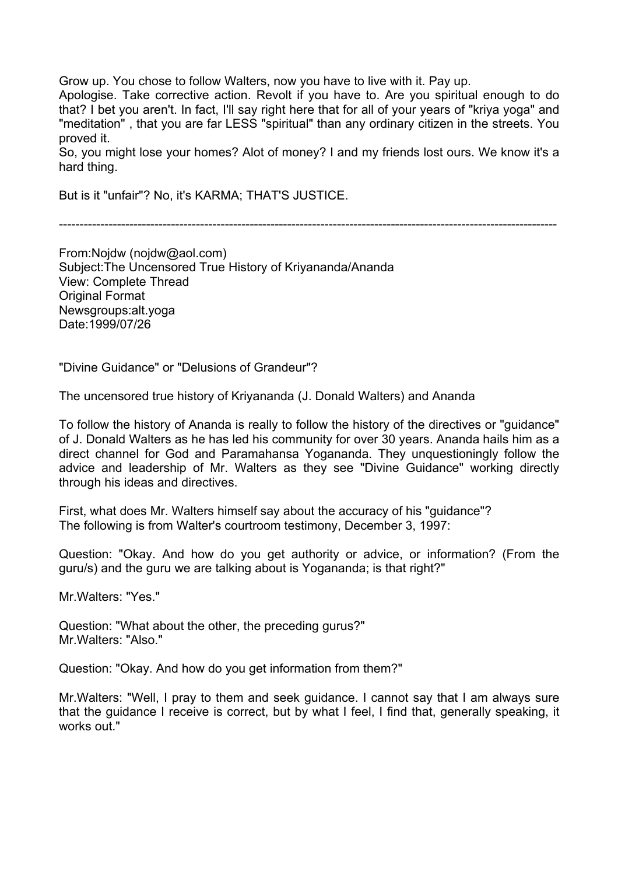Grow up. You chose to follow Walters, now you have to live with it. Pay up.

Apologise. Take corrective action. Revolt if you have to. Are you spiritual enough to do that? I bet you aren't. In fact, I'll say right here that for all of your years of "kriya yoga" and "meditation" , that you are far LESS "spiritual" than any ordinary citizen in the streets. You proved it.

So, you might lose your homes? Alot of money? I and my friends lost ours. We know it's a hard thing.

But is it "unfair"? No, it's KARMA; THAT'S JUSTICE.

------------------------------------------------------------------------------------------------------------------------

From:Nojdw (nojdw@aol.com) Subject:The Uncensored True History of Kriyananda/Ananda View: Complete Thread Original Format Newsgroups:alt.yoga Date:1999/07/26

"Divine Guidance" or "Delusions of Grandeur"?

The uncensored true history of Kriyananda (J. Donald Walters) and Ananda

To follow the history of Ananda is really to follow the history of the directives or "guidance" of J. Donald Walters as he has led his community for over 30 years. Ananda hails him as a direct channel for God and Paramahansa Yogananda. They unquestioningly follow the advice and leadership of Mr. Walters as they see "Divine Guidance" working directly through his ideas and directives.

First, what does Mr. Walters himself say about the accuracy of his "guidance"? The following is from Walter's courtroom testimony, December 3, 1997:

Question: "Okay. And how do you get authority or advice, or information? (From the guru/s) and the guru we are talking about is Yogananda; is that right?"

Mr.Walters: "Yes."

Question: "What about the other, the preceding gurus?" Mr.Walters: "Also."

Question: "Okay. And how do you get information from them?"

Mr.Walters: "Well, I pray to them and seek guidance. I cannot say that I am always sure that the guidance I receive is correct, but by what I feel, I find that, generally speaking, it works out."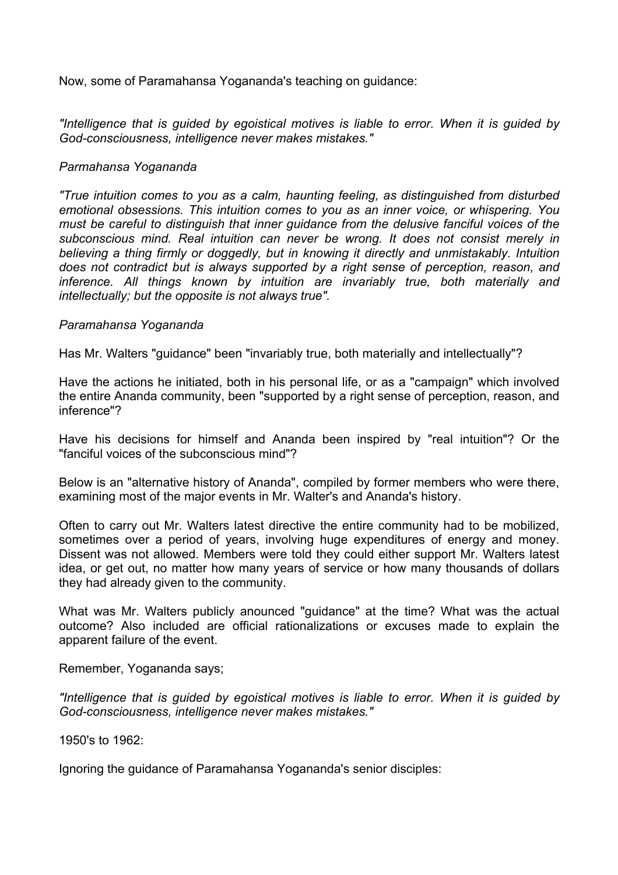Now, some of Paramahansa Yogananda's teaching on guidance:

*"Intelligence that is guided by egoistical motives is liable to error. When it is guided by God-consciousness, intelligence never makes mistakes."* 

#### *Parmahansa Yogananda*

*"True intuition comes to you as a calm, haunting feeling, as distinguished from disturbed emotional obsessions. This intuition comes to you as an inner voice, or whispering. You must be careful to distinguish that inner guidance from the delusive fanciful voices of the subconscious mind. Real intuition can never be wrong. It does not consist merely in believing a thing firmly or doggedly, but in knowing it directly and unmistakably. Intuition does not contradict but is always supported by a right sense of perception, reason, and inference. All things known by intuition are invariably true, both materially and intellectually; but the opposite is not always true".* 

#### *Paramahansa Yogananda*

Has Mr. Walters "guidance" been "invariably true, both materially and intellectually"?

Have the actions he initiated, both in his personal life, or as a "campaign" which involved the entire Ananda community, been "supported by a right sense of perception, reason, and inference"?

Have his decisions for himself and Ananda been inspired by "real intuition"? Or the "fanciful voices of the subconscious mind"?

Below is an "alternative history of Ananda", compiled by former members who were there, examining most of the major events in Mr. Walter's and Ananda's history.

Often to carry out Mr. Walters latest directive the entire community had to be mobilized, sometimes over a period of years, involving huge expenditures of energy and money. Dissent was not allowed. Members were told they could either support Mr. Walters latest idea, or get out, no matter how many years of service or how many thousands of dollars they had already given to the community.

What was Mr. Walters publicly anounced "guidance" at the time? What was the actual outcome? Also included are official rationalizations or excuses made to explain the apparent failure of the event.

Remember, Yogananda says;

*"Intelligence that is guided by egoistical motives is liable to error. When it is guided by God-consciousness, intelligence never makes mistakes."* 

1950's to 1962:

Ignoring the guidance of Paramahansa Yogananda's senior disciples: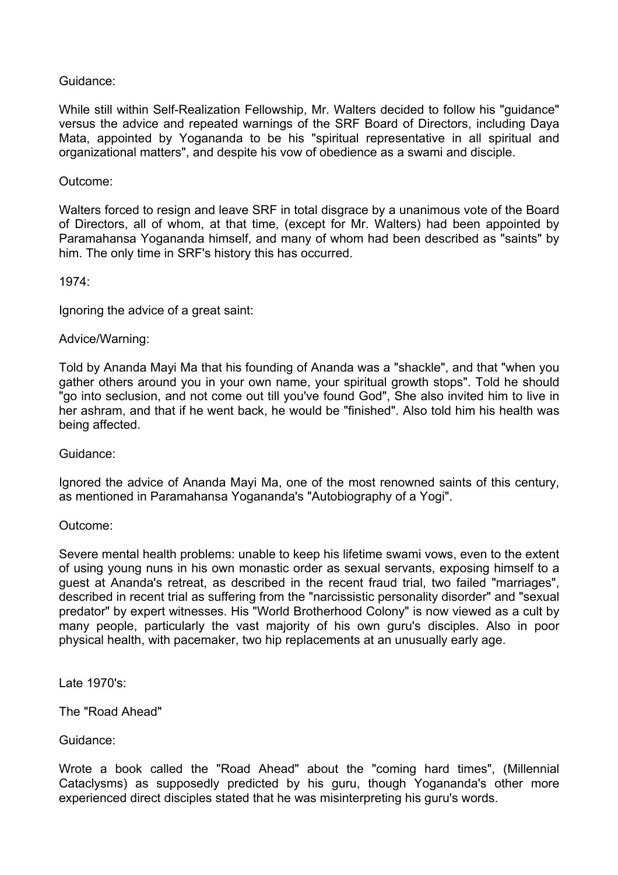# Guidance:

While still within Self-Realization Fellowship, Mr. Walters decided to follow his "guidance" versus the advice and repeated warnings of the SRF Board of Directors, including Daya Mata, appointed by Yogananda to be his "spiritual representative in all spiritual and organizational matters", and despite his vow of obedience as a swami and disciple.

# Outcome:

Walters forced to resign and leave SRF in total disgrace by a unanimous vote of the Board of Directors, all of whom, at that time, (except for Mr. Walters) had been appointed by Paramahansa Yogananda himself, and many of whom had been described as "saints" by him. The only time in SRF's history this has occurred.

1974:

Ignoring the advice of a great saint:

#### Advice/Warning:

Told by Ananda Mayi Ma that his founding of Ananda was a "shackle", and that "when you gather others around you in your own name, your spiritual growth stops". Told he should "go into seclusion, and not come out till you've found God", She also invited him to live in her ashram, and that if he went back, he would be "finished". Also told him his health was being affected.

Guidance:

Ignored the advice of Ananda Mayi Ma, one of the most renowned saints of this century, as mentioned in Paramahansa Yogananda's "Autobiography of a Yogi".

#### Outcome:

Severe mental health problems: unable to keep his lifetime swami vows, even to the extent of using young nuns in his own monastic order as sexual servants, exposing himself to a guest at Ananda's retreat, as described in the recent fraud trial, two failed "marriages", described in recent trial as suffering from the "narcissistic personality disorder" and "sexual predator" by expert witnesses. His "World Brotherhood Colony" is now viewed as a cult by many people, particularly the vast majority of his own guru's disciples. Also in poor physical health, with pacemaker, two hip replacements at an unusually early age.

Late 1970's:

The "Road Ahead"

Guidance:

Wrote a book called the "Road Ahead" about the "coming hard times", (Millennial Cataclysms) as supposedly predicted by his guru, though Yogananda's other more experienced direct disciples stated that he was misinterpreting his guru's words.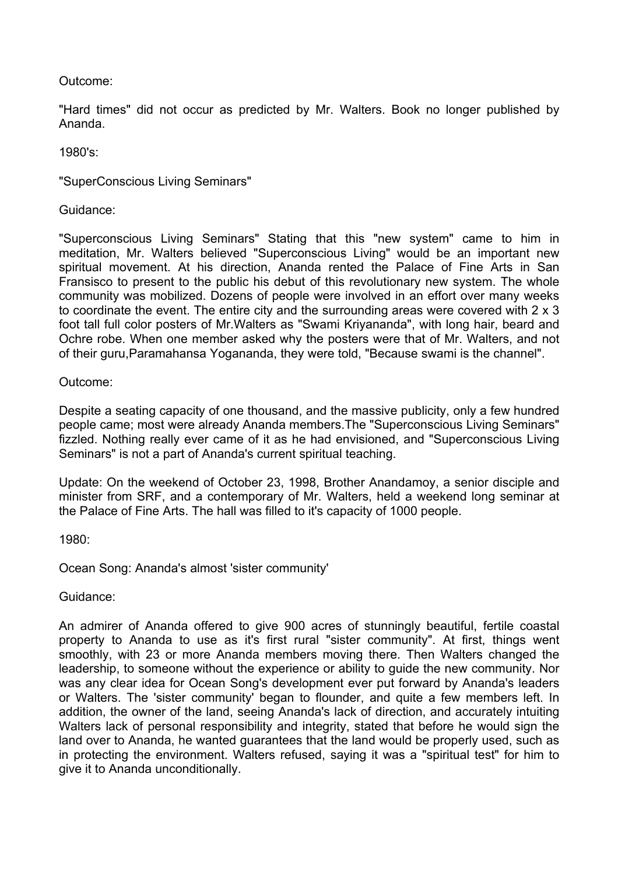# Outcome:

"Hard times" did not occur as predicted by Mr. Walters. Book no longer published by Ananda.

1980's:

"SuperConscious Living Seminars"

Guidance:

"Superconscious Living Seminars" Stating that this "new system" came to him in meditation, Mr. Walters believed "Superconscious Living" would be an important new spiritual movement. At his direction, Ananda rented the Palace of Fine Arts in San Fransisco to present to the public his debut of this revolutionary new system. The whole community was mobilized. Dozens of people were involved in an effort over many weeks to coordinate the event. The entire city and the surrounding areas were covered with 2 x 3 foot tall full color posters of Mr.Walters as "Swami Kriyananda", with long hair, beard and Ochre robe. When one member asked why the posters were that of Mr. Walters, and not of their guru,Paramahansa Yogananda, they were told, "Because swami is the channel".

# Outcome:

Despite a seating capacity of one thousand, and the massive publicity, only a few hundred people came; most were already Ananda members.The "Superconscious Living Seminars" fizzled. Nothing really ever came of it as he had envisioned, and "Superconscious Living Seminars" is not a part of Ananda's current spiritual teaching.

Update: On the weekend of October 23, 1998, Brother Anandamoy, a senior disciple and minister from SRF, and a contemporary of Mr. Walters, held a weekend long seminar at the Palace of Fine Arts. The hall was filled to it's capacity of 1000 people.

1980:

Ocean Song: Ananda's almost 'sister community'

Guidance:

An admirer of Ananda offered to give 900 acres of stunningly beautiful, fertile coastal property to Ananda to use as it's first rural "sister community". At first, things went smoothly, with 23 or more Ananda members moving there. Then Walters changed the leadership, to someone without the experience or ability to guide the new community. Nor was any clear idea for Ocean Song's development ever put forward by Ananda's leaders or Walters. The 'sister community' began to flounder, and quite a few members left. In addition, the owner of the land, seeing Ananda's lack of direction, and accurately intuiting Walters lack of personal responsibility and integrity, stated that before he would sign the land over to Ananda, he wanted guarantees that the land would be properly used, such as in protecting the environment. Walters refused, saying it was a "spiritual test" for him to give it to Ananda unconditionally.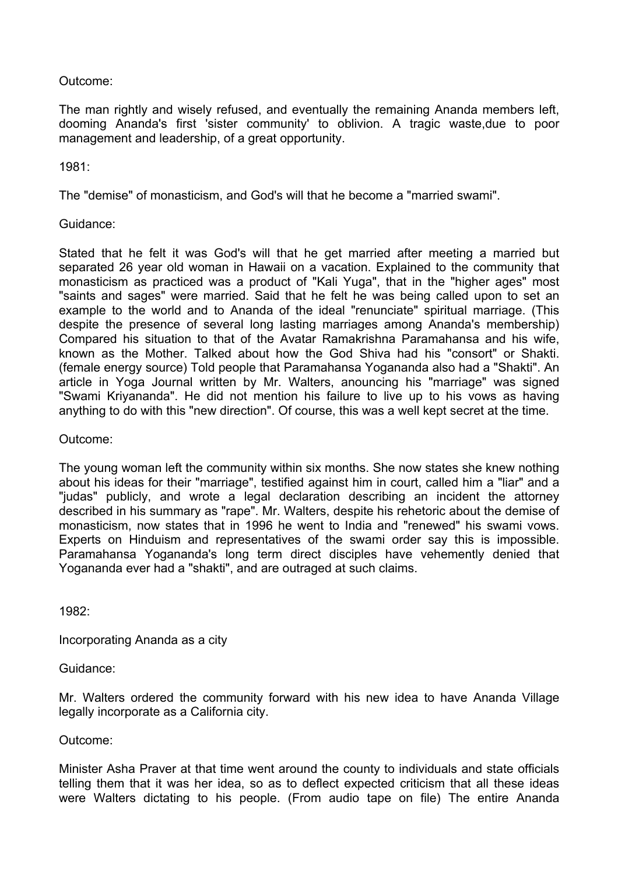# Outcome:

The man rightly and wisely refused, and eventually the remaining Ananda members left, dooming Ananda's first 'sister community' to oblivion. A tragic waste,due to poor management and leadership, of a great opportunity.

# 1981:

The "demise" of monasticism, and God's will that he become a "married swami".

# Guidance:

Stated that he felt it was God's will that he get married after meeting a married but separated 26 year old woman in Hawaii on a vacation. Explained to the community that monasticism as practiced was a product of "Kali Yuga", that in the "higher ages" most "saints and sages" were married. Said that he felt he was being called upon to set an example to the world and to Ananda of the ideal "renunciate" spiritual marriage. (This despite the presence of several long lasting marriages among Ananda's membership) Compared his situation to that of the Avatar Ramakrishna Paramahansa and his wife, known as the Mother. Talked about how the God Shiva had his "consort" or Shakti. (female energy source) Told people that Paramahansa Yogananda also had a "Shakti". An article in Yoga Journal written by Mr. Walters, anouncing his "marriage" was signed "Swami Kriyananda". He did not mention his failure to live up to his vows as having anything to do with this "new direction". Of course, this was a well kept secret at the time.

# Outcome:

The young woman left the community within six months. She now states she knew nothing about his ideas for their "marriage", testified against him in court, called him a "liar" and a "judas" publicly, and wrote a legal declaration describing an incident the attorney described in his summary as "rape". Mr. Walters, despite his rehetoric about the demise of monasticism, now states that in 1996 he went to India and "renewed" his swami vows. Experts on Hinduism and representatives of the swami order say this is impossible. Paramahansa Yogananda's long term direct disciples have vehemently denied that Yogananda ever had a "shakti", and are outraged at such claims.

1982:

Incorporating Ananda as a city

Guidance:

Mr. Walters ordered the community forward with his new idea to have Ananda Village legally incorporate as a California city.

# Outcome:

Minister Asha Praver at that time went around the county to individuals and state officials telling them that it was her idea, so as to deflect expected criticism that all these ideas were Walters dictating to his people. (From audio tape on file) The entire Ananda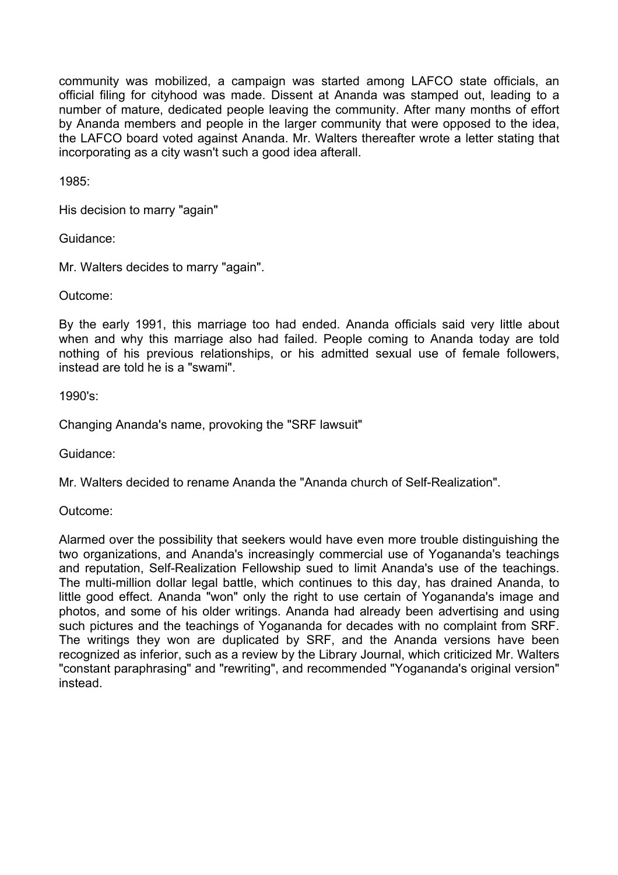community was mobilized, a campaign was started among LAFCO state officials, an official filing for cityhood was made. Dissent at Ananda was stamped out, leading to a number of mature, dedicated people leaving the community. After many months of effort by Ananda members and people in the larger community that were opposed to the idea, the LAFCO board voted against Ananda. Mr. Walters thereafter wrote a letter stating that incorporating as a city wasn't such a good idea afterall.

1985:

His decision to marry "again"

Guidance:

Mr. Walters decides to marry "again".

Outcome:

By the early 1991, this marriage too had ended. Ananda officials said very little about when and why this marriage also had failed. People coming to Ananda today are told nothing of his previous relationships, or his admitted sexual use of female followers, instead are told he is a "swami".

1990's:

Changing Ananda's name, provoking the "SRF lawsuit"

Guidance:

Mr. Walters decided to rename Ananda the "Ananda church of Self-Realization".

Outcome:

Alarmed over the possibility that seekers would have even more trouble distinguishing the two organizations, and Ananda's increasingly commercial use of Yogananda's teachings and reputation, Self-Realization Fellowship sued to limit Ananda's use of the teachings. The multi-million dollar legal battle, which continues to this day, has drained Ananda, to little good effect. Ananda "won" only the right to use certain of Yogananda's image and photos, and some of his older writings. Ananda had already been advertising and using such pictures and the teachings of Yogananda for decades with no complaint from SRF. The writings they won are duplicated by SRF, and the Ananda versions have been recognized as inferior, such as a review by the Library Journal, which criticized Mr. Walters "constant paraphrasing" and "rewriting", and recommended "Yogananda's original version" instead.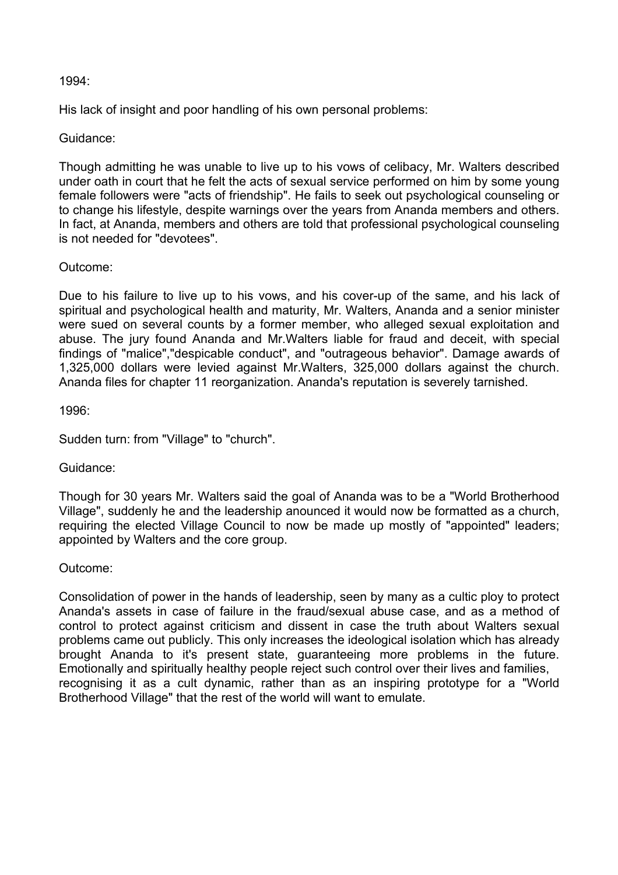# 1994:

His lack of insight and poor handling of his own personal problems:

# Guidance:

Though admitting he was unable to live up to his vows of celibacy, Mr. Walters described under oath in court that he felt the acts of sexual service performed on him by some young female followers were "acts of friendship". He fails to seek out psychological counseling or to change his lifestyle, despite warnings over the years from Ananda members and others. In fact, at Ananda, members and others are told that professional psychological counseling is not needed for "devotees".

# Outcome:

Due to his failure to live up to his vows, and his cover-up of the same, and his lack of spiritual and psychological health and maturity, Mr. Walters, Ananda and a senior minister were sued on several counts by a former member, who alleged sexual exploitation and abuse. The jury found Ananda and Mr.Walters liable for fraud and deceit, with special findings of "malice","despicable conduct", and "outrageous behavior". Damage awards of 1,325,000 dollars were levied against Mr.Walters, 325,000 dollars against the church. Ananda files for chapter 11 reorganization. Ananda's reputation is severely tarnished.

1996:

Sudden turn: from "Village" to "church".

# Guidance:

Though for 30 years Mr. Walters said the goal of Ananda was to be a "World Brotherhood Village", suddenly he and the leadership anounced it would now be formatted as a church, requiring the elected Village Council to now be made up mostly of "appointed" leaders; appointed by Walters and the core group.

# Outcome:

Consolidation of power in the hands of leadership, seen by many as a cultic ploy to protect Ananda's assets in case of failure in the fraud/sexual abuse case, and as a method of control to protect against criticism and dissent in case the truth about Walters sexual problems came out publicly. This only increases the ideological isolation which has already brought Ananda to it's present state, guaranteeing more problems in the future. Emotionally and spiritually healthy people reject such control over their lives and families, recognising it as a cult dynamic, rather than as an inspiring prototype for a "World Brotherhood Village" that the rest of the world will want to emulate.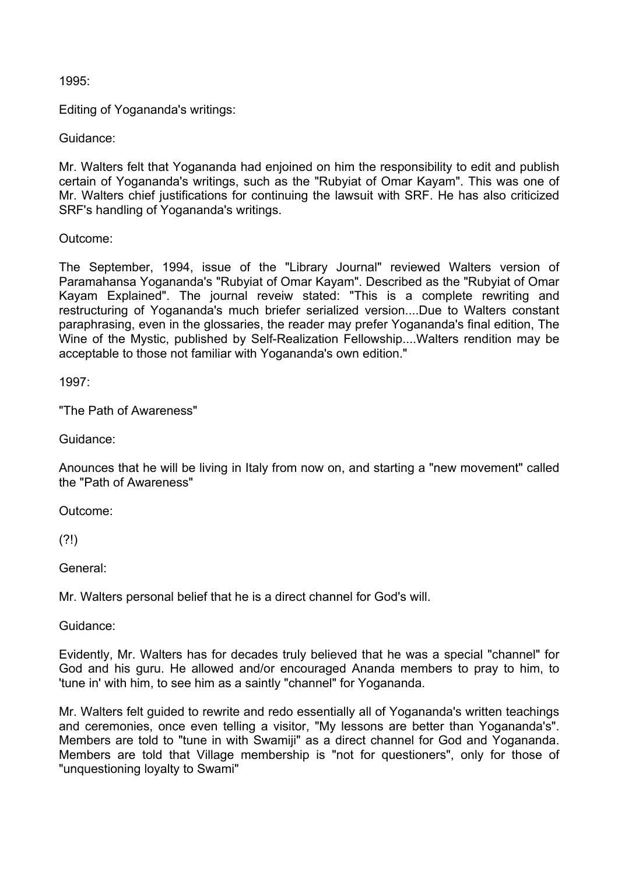# 1995:

Editing of Yogananda's writings:

Guidance:

Mr. Walters felt that Yogananda had enjoined on him the responsibility to edit and publish certain of Yogananda's writings, such as the "Rubyiat of Omar Kayam". This was one of Mr. Walters chief justifications for continuing the lawsuit with SRF. He has also criticized SRF's handling of Yogananda's writings.

Outcome:

The September, 1994, issue of the "Library Journal" reviewed Walters version of Paramahansa Yogananda's "Rubyiat of Omar Kayam". Described as the "Rubyiat of Omar Kayam Explained". The journal reveiw stated: "This is a complete rewriting and restructuring of Yogananda's much briefer serialized version....Due to Walters constant paraphrasing, even in the glossaries, the reader may prefer Yogananda's final edition, The Wine of the Mystic, published by Self-Realization Fellowship....Walters rendition may be acceptable to those not familiar with Yogananda's own edition."

1997:

"The Path of Awareness"

Guidance:

Anounces that he will be living in Italy from now on, and starting a "new movement" called the "Path of Awareness"

Outcome:

 $(2!)$ 

General:

Mr. Walters personal belief that he is a direct channel for God's will.

Guidance:

Evidently, Mr. Walters has for decades truly believed that he was a special "channel" for God and his guru. He allowed and/or encouraged Ananda members to pray to him, to 'tune in' with him, to see him as a saintly "channel" for Yogananda.

Mr. Walters felt guided to rewrite and redo essentially all of Yogananda's written teachings and ceremonies, once even telling a visitor, "My lessons are better than Yogananda's". Members are told to "tune in with Swamiji" as a direct channel for God and Yogananda. Members are told that Village membership is "not for questioners", only for those of "unquestioning loyalty to Swami"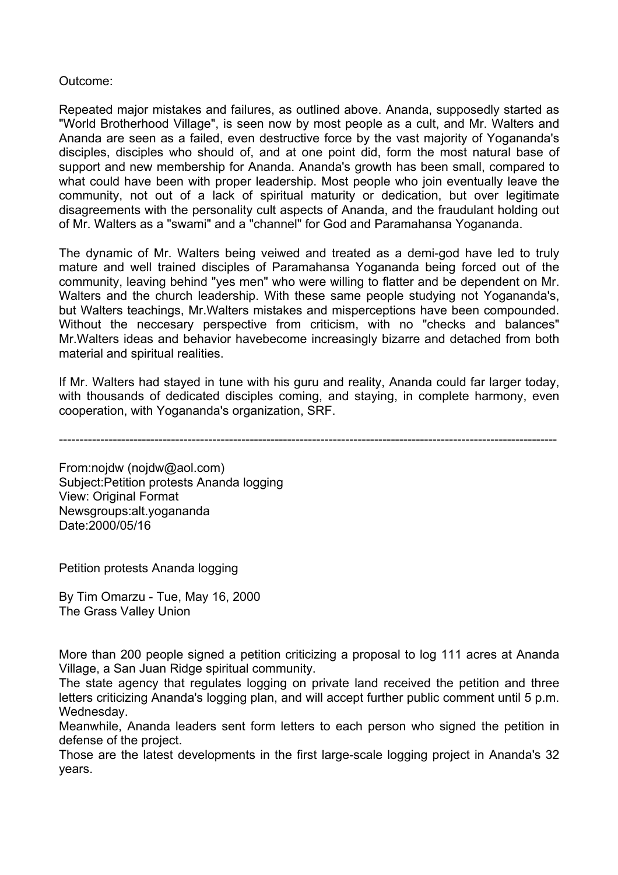# Outcome:

Repeated major mistakes and failures, as outlined above. Ananda, supposedly started as "World Brotherhood Village", is seen now by most people as a cult, and Mr. Walters and Ananda are seen as a failed, even destructive force by the vast majority of Yogananda's disciples, disciples who should of, and at one point did, form the most natural base of support and new membership for Ananda. Ananda's growth has been small, compared to what could have been with proper leadership. Most people who join eventually leave the community, not out of a lack of spiritual maturity or dedication, but over legitimate disagreements with the personality cult aspects of Ananda, and the fraudulant holding out of Mr. Walters as a "swami" and a "channel" for God and Paramahansa Yogananda.

The dynamic of Mr. Walters being veiwed and treated as a demi-god have led to truly mature and well trained disciples of Paramahansa Yogananda being forced out of the community, leaving behind "yes men" who were willing to flatter and be dependent on Mr. Walters and the church leadership. With these same people studying not Yogananda's, but Walters teachings, Mr.Walters mistakes and misperceptions have been compounded. Without the neccesary perspective from criticism, with no "checks and balances" Mr.Walters ideas and behavior havebecome increasingly bizarre and detached from both material and spiritual realities.

If Mr. Walters had stayed in tune with his guru and reality, Ananda could far larger today, with thousands of dedicated disciples coming, and staying, in complete harmony, even cooperation, with Yogananda's organization, SRF.

------------------------------------------------------------------------------------------------------------------------

From:nojdw (nojdw@aol.com) Subject:Petition protests Ananda logging View: Original Format Newsgroups:alt.yogananda Date:2000/05/16

Petition protests Ananda logging

By Tim Omarzu - Tue, May 16, 2000 The Grass Valley Union

More than 200 people signed a petition criticizing a proposal to log 111 acres at Ananda Village, a San Juan Ridge spiritual community.

The state agency that regulates logging on private land received the petition and three letters criticizing Ananda's logging plan, and will accept further public comment until 5 p.m. Wednesday.

Meanwhile, Ananda leaders sent form letters to each person who signed the petition in defense of the project.

Those are the latest developments in the first large-scale logging project in Ananda's 32 years.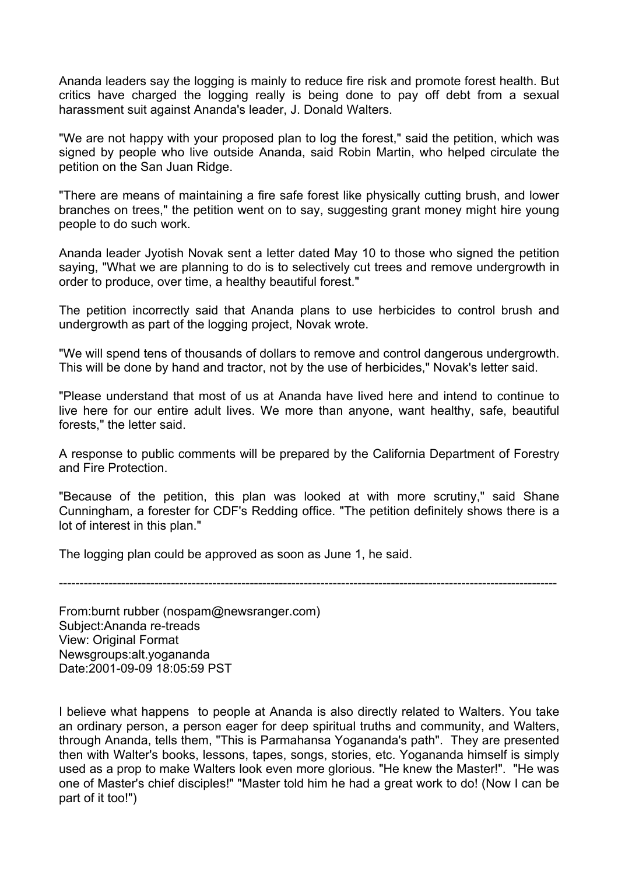Ananda leaders say the logging is mainly to reduce fire risk and promote forest health. But critics have charged the logging really is being done to pay off debt from a sexual harassment suit against Ananda's leader, J. Donald Walters.

"We are not happy with your proposed plan to log the forest," said the petition, which was signed by people who live outside Ananda, said Robin Martin, who helped circulate the petition on the San Juan Ridge.

"There are means of maintaining a fire safe forest like physically cutting brush, and lower branches on trees," the petition went on to say, suggesting grant money might hire young people to do such work.

Ananda leader Jyotish Novak sent a letter dated May 10 to those who signed the petition saying, "What we are planning to do is to selectively cut trees and remove undergrowth in order to produce, over time, a healthy beautiful forest."

The petition incorrectly said that Ananda plans to use herbicides to control brush and undergrowth as part of the logging project, Novak wrote.

"We will spend tens of thousands of dollars to remove and control dangerous undergrowth. This will be done by hand and tractor, not by the use of herbicides," Novak's letter said.

"Please understand that most of us at Ananda have lived here and intend to continue to live here for our entire adult lives. We more than anyone, want healthy, safe, beautiful forests," the letter said.

A response to public comments will be prepared by the California Department of Forestry and Fire Protection.

"Because of the petition, this plan was looked at with more scrutiny," said Shane Cunningham, a forester for CDF's Redding office. "The petition definitely shows there is a lot of interest in this plan."

The logging plan could be approved as soon as June 1, he said.

------------------------------------------------------------------------------------------------------------------------

From:burnt rubber (nospam@newsranger.com) Subject:Ananda re-treads View: Original Format Newsgroups:alt.yogananda Date:2001-09-09 18:05:59 PST

I believe what happens to people at Ananda is also directly related to Walters. You take an ordinary person, a person eager for deep spiritual truths and community, and Walters, through Ananda, tells them, "This is Parmahansa Yogananda's path". They are presented then with Walter's books, lessons, tapes, songs, stories, etc. Yogananda himself is simply used as a prop to make Walters look even more glorious. "He knew the Master!". "He was one of Master's chief disciples!" "Master told him he had a great work to do! (Now I can be part of it too!")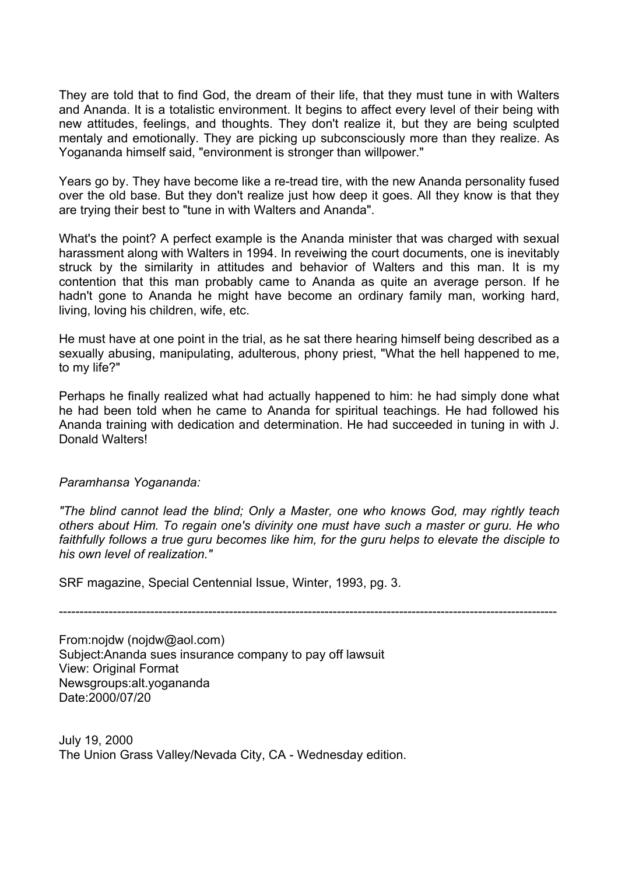They are told that to find God, the dream of their life, that they must tune in with Walters and Ananda. It is a totalistic environment. It begins to affect every level of their being with new attitudes, feelings, and thoughts. They don't realize it, but they are being sculpted mentaly and emotionally. They are picking up subconsciously more than they realize. As Yogananda himself said, "environment is stronger than willpower."

Years go by. They have become like a re-tread tire, with the new Ananda personality fused over the old base. But they don't realize just how deep it goes. All they know is that they are trying their best to "tune in with Walters and Ananda".

What's the point? A perfect example is the Ananda minister that was charged with sexual harassment along with Walters in 1994. In reveiwing the court documents, one is inevitably struck by the similarity in attitudes and behavior of Walters and this man. It is my contention that this man probably came to Ananda as quite an average person. If he hadn't gone to Ananda he might have become an ordinary family man, working hard, living, loving his children, wife, etc.

He must have at one point in the trial, as he sat there hearing himself being described as a sexually abusing, manipulating, adulterous, phony priest, "What the hell happened to me, to my life?"

Perhaps he finally realized what had actually happened to him: he had simply done what he had been told when he came to Ananda for spiritual teachings. He had followed his Ananda training with dedication and determination. He had succeeded in tuning in with J. Donald Walters!

# *Paramhansa Yogananda:*

*"The blind cannot lead the blind; Only a Master, one who knows God, may rightly teach others about Him. To regain one's divinity one must have such a master or guru. He who faithfully follows a true guru becomes like him, for the guru helps to elevate the disciple to his own level of realization."* 

SRF magazine, Special Centennial Issue, Winter, 1993, pg. 3.

------------------------------------------------------------------------------------------------------------------------

From:nojdw (nojdw@aol.com) Subject:Ananda sues insurance company to pay off lawsuit View: Original Format Newsgroups:alt.yogananda Date:2000/07/20

July 19, 2000 The Union Grass Valley/Nevada City, CA - Wednesday edition.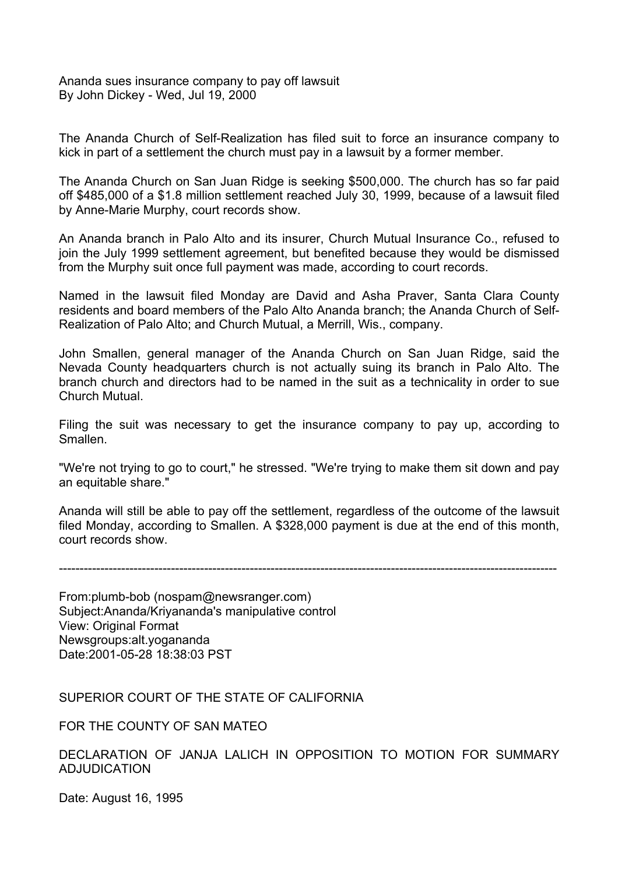Ananda sues insurance company to pay off lawsuit By John Dickey - Wed, Jul 19, 2000

The Ananda Church of Self-Realization has filed suit to force an insurance company to kick in part of a settlement the church must pay in a lawsuit by a former member.

The Ananda Church on San Juan Ridge is seeking \$500,000. The church has so far paid off \$485,000 of a \$1.8 million settlement reached July 30, 1999, because of a lawsuit filed by Anne-Marie Murphy, court records show.

An Ananda branch in Palo Alto and its insurer, Church Mutual Insurance Co., refused to join the July 1999 settlement agreement, but benefited because they would be dismissed from the Murphy suit once full payment was made, according to court records.

Named in the lawsuit filed Monday are David and Asha Praver, Santa Clara County residents and board members of the Palo Alto Ananda branch; the Ananda Church of Self-Realization of Palo Alto; and Church Mutual, a Merrill, Wis., company.

John Smallen, general manager of the Ananda Church on San Juan Ridge, said the Nevada County headquarters church is not actually suing its branch in Palo Alto. The branch church and directors had to be named in the suit as a technicality in order to sue Church Mutual.

Filing the suit was necessary to get the insurance company to pay up, according to Smallen.

"We're not trying to go to court," he stressed. "We're trying to make them sit down and pay an equitable share."

Ananda will still be able to pay off the settlement, regardless of the outcome of the lawsuit filed Monday, according to Smallen. A \$328,000 payment is due at the end of this month, court records show.

------------------------------------------------------------------------------------------------------------------------

From:plumb-bob (nospam@newsranger.com) Subject:Ananda/Kriyananda's manipulative control View: Original Format Newsgroups:alt.yogananda Date:2001-05-28 18:38:03 PST

SUPERIOR COURT OF THE STATE OF CALIFORNIA

FOR THE COUNTY OF SAN MATEO

DECLARATION OF JANJA LALICH IN OPPOSITION TO MOTION FOR SUMMARY ADJUDICATION

Date: August 16, 1995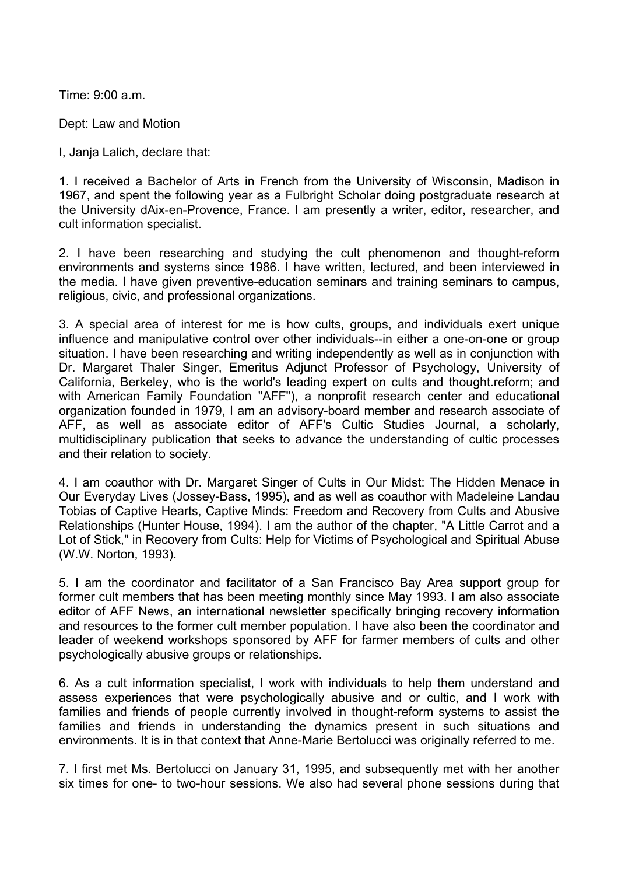Time: 9:00 a.m.

Dept: Law and Motion

I, Janja Lalich, declare that:

1. I received a Bachelor of Arts in French from the University of Wisconsin, Madison in 1967, and spent the following year as a Fulbright Scholar doing postgraduate research at the University dAix-en-Provence, France. I am presently a writer, editor, researcher, and cult information specialist.

2. I have been researching and studying the cult phenomenon and thought-reform environments and systems since 1986. I have written, lectured, and been interviewed in the media. I have given preventive-education seminars and training seminars to campus, religious, civic, and professional organizations.

3. A special area of interest for me is how cults, groups, and individuals exert unique influence and manipulative control over other individuals--in either a one-on-one or group situation. I have been researching and writing independently as well as in conjunction with Dr. Margaret Thaler Singer, Emeritus Adjunct Professor of Psychology, University of California, Berkeley, who is the world's leading expert on cults and thought.reform; and with American Family Foundation "AFF"), a nonprofit research center and educational organization founded in 1979, I am an advisory-board member and research associate of AFF, as well as associate editor of AFF's Cultic Studies Journal, a scholarly, multidisciplinary publication that seeks to advance the understanding of cultic processes and their relation to society.

4. I am coauthor with Dr. Margaret Singer of Cults in Our Midst: The Hidden Menace in Our Everyday Lives (Jossey-Bass, 1995), and as well as coauthor with Madeleine Landau Tobias of Captive Hearts, Captive Minds: Freedom and Recovery from Cults and Abusive Relationships (Hunter House, 1994). I am the author of the chapter, "A Little Carrot and a Lot of Stick," in Recovery from Cults: Help for Victims of Psychological and Spiritual Abuse (W.W. Norton, 1993).

5. I am the coordinator and facilitator of a San Francisco Bay Area support group for former cult members that has been meeting monthly since May 1993. I am also associate editor of AFF News, an international newsletter specifically bringing recovery information and resources to the former cult member population. I have also been the coordinator and leader of weekend workshops sponsored by AFF for farmer members of cults and other psychologically abusive groups or relationships.

6. As a cult information specialist, I work with individuals to help them understand and assess experiences that were psychologically abusive and or cultic, and I work with families and friends of people currently involved in thought-reform systems to assist the families and friends in understanding the dynamics present in such situations and environments. It is in that context that Anne-Marie Bertolucci was originally referred to me.

7. I first met Ms. Bertolucci on January 31, 1995, and subsequently met with her another six times for one- to two-hour sessions. We also had several phone sessions during that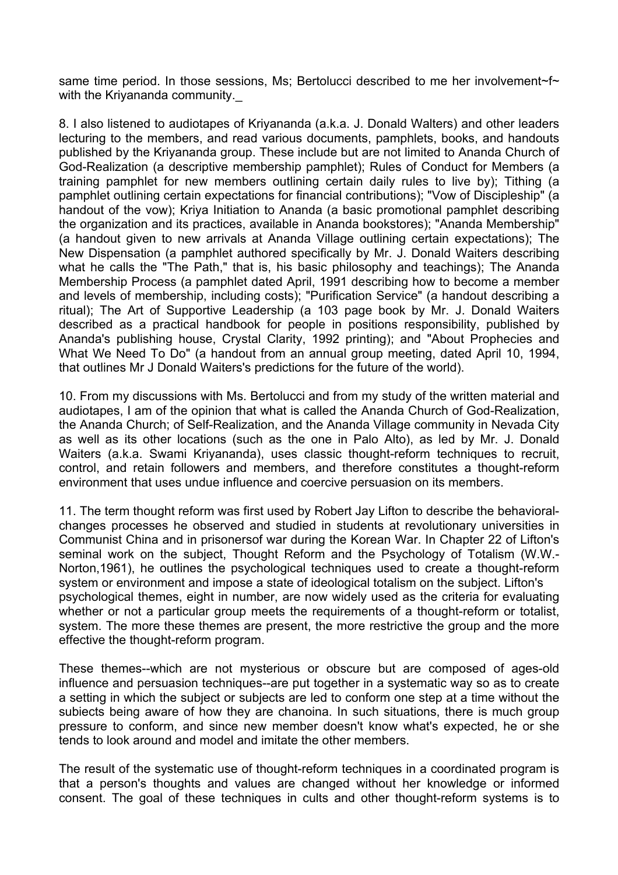same time period. In those sessions, Ms; Bertolucci described to me her involvement~f~ with the Kriyananda community.

8. I also listened to audiotapes of Kriyananda (a.k.a. J. Donald Walters) and other leaders lecturing to the members, and read various documents, pamphlets, books, and handouts published by the Kriyananda group. These include but are not limited to Ananda Church of God-Realization (a descriptive membership pamphlet); Rules of Conduct for Members (a training pamphlet for new members outlining certain daily rules to live by); Tithing (a pamphlet outlining certain expectations for financial contributions); "Vow of Discipleship" (a handout of the vow); Kriya Initiation to Ananda (a basic promotional pamphlet describing the organization and its practices, available in Ananda bookstores); "Ananda Membership" (a handout given to new arrivals at Ananda Village outlining certain expectations); The New Dispensation (a pamphlet authored specifically by Mr. J. Donald Waiters describing what he calls the "The Path," that is, his basic philosophy and teachings); The Ananda Membership Process (a pamphlet dated April, 1991 describing how to become a member and levels of membership, including costs); "Purification Service" (a handout describing a ritual); The Art of Supportive Leadership (a 103 page book by Mr. J. Donald Waiters described as a practical handbook for people in positions responsibility, published by Ananda's publishing house, Crystal Clarity, 1992 printing); and "About Prophecies and What We Need To Do" (a handout from an annual group meeting, dated April 10, 1994, that outlines Mr J Donald Waiters's predictions for the future of the world).

10. From my discussions with Ms. Bertolucci and from my study of the written material and audiotapes, I am of the opinion that what is called the Ananda Church of God-Realization, the Ananda Church; of Self-Realization, and the Ananda Village community in Nevada City as well as its other locations (such as the one in Palo Alto), as led by Mr. J. Donald Waiters (a.k.a. Swami Kriyananda), uses classic thought-reform techniques to recruit, control, and retain followers and members, and therefore constitutes a thought-reform environment that uses undue influence and coercive persuasion on its members.

11. The term thought reform was first used by Robert Jay Lifton to describe the behavioralchanges processes he observed and studied in students at revolutionary universities in Communist China and in prisonersof war during the Korean War. In Chapter 22 of Lifton's seminal work on the subject, Thought Reform and the Psychology of Totalism (W.W.- Norton,1961), he outlines the psychological techniques used to create a thought-reform system or environment and impose a state of ideological totalism on the subject. Lifton's psychological themes, eight in number, are now widely used as the criteria for evaluating whether or not a particular group meets the requirements of a thought-reform or totalist, system. The more these themes are present, the more restrictive the group and the more effective the thought-reform program.

These themes--which are not mysterious or obscure but are composed of ages-old influence and persuasion techniques--are put together in a systematic way so as to create a setting in which the subject or subjects are led to conform one step at a time without the subiects being aware of how they are chanoina. In such situations, there is much group pressure to conform, and since new member doesn't know what's expected, he or she tends to look around and model and imitate the other members.

The result of the systematic use of thought-reform techniques in a coordinated program is that a person's thoughts and values are changed without her knowledge or informed consent. The goal of these techniques in cults and other thought-reform systems is to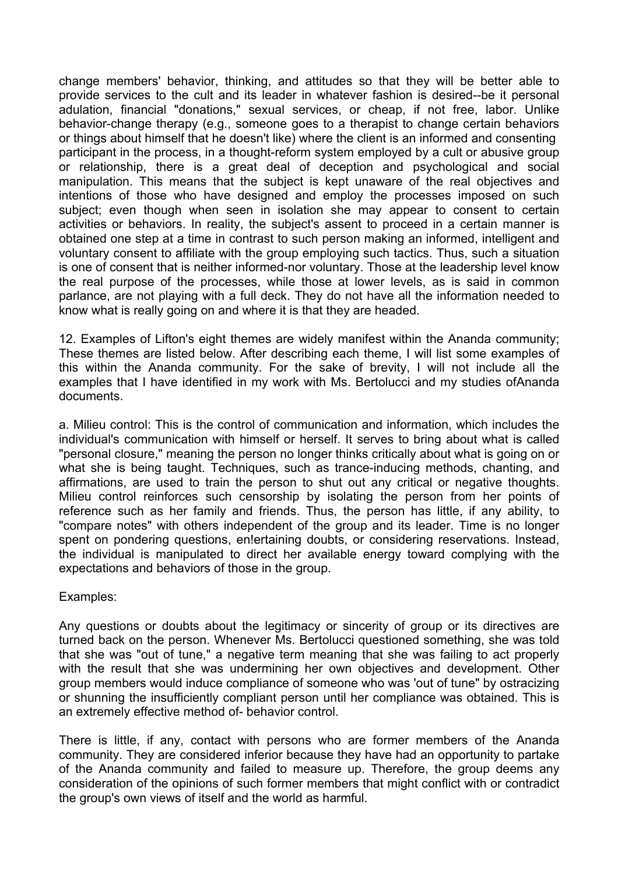change members' behavior, thinking, and attitudes so that they will be better able to provide services to the cult and its leader in whatever fashion is desired--be it personal adulation, financial "donations," sexual services, or cheap, if not free, labor. Unlike behavior-change therapy (e.g., someone goes to a therapist to change certain behaviors or things about himself that he doesn't like) where the client is an informed and consenting participant in the process, in a thought-reform system employed by a cult or abusive group or relationship, there is a great deal of deception and psychological and social manipulation. This means that the subject is kept unaware of the real objectives and intentions of those who have designed and employ the processes imposed on such subject; even though when seen in isolation she may appear to consent to certain activities or behaviors. In reality, the subject's assent to proceed in a certain manner is obtained one step at a time in contrast to such person making an informed, intelligent and voluntary consent to affiliate with the group employing such tactics. Thus, such a situation is one of consent that is neither informed-nor voluntary. Those at the leadership level know the real purpose of the processes, while those at lower levels, as is said in common parlance, are not playing with a full deck. They do not have all the information needed to know what is really going on and where it is that they are headed.

12. Examples of Lifton's eight themes are widely manifest within the Ananda community; These themes are listed below. After describing each theme, I will list some examples of this within the Ananda community. For the sake of brevity, I will not include all the examples that I have identified in my work with Ms. Bertolucci and my studies ofAnanda documents.

a. Milieu control: This is the control of communication and information, which includes the individual's communication with himself or herself. It serves to bring about what is called "personal closure," meaning the person no longer thinks critically about what is going on or what she is being taught. Techniques, such as trance-inducing methods, chanting, and affirmations, are used to train the person to shut out any critical or negative thoughts. Milieu control reinforces such censorship by isolating the person from her points of reference such as her family and friends. Thus, the person has little, if any ability, to "compare notes" with others independent of the group and its leader. Time is no longer spent on pondering questions, en!ertaining doubts, or considering reservations. Instead, the individual is manipulated to direct her available energy toward complying with the expectations and behaviors of those in the group.

Examples:

Any questions or doubts about the legitimacy or sincerity of group or its directives are turned back on the person. Whenever Ms. Bertolucci questioned something, she was told that she was "out of tune," a negative term meaning that she was failing to act properly with the result that she was undermining her own objectives and development. Other group members would induce compliance of someone who was 'out of tune" by ostracizing or shunning the insufficiently compliant person until her compliance was obtained. This is an extremely effective method of- behavior control.

There is little, if any, contact with persons who are former members of the Ananda community. They are considered inferior because they have had an opportunity to partake of the Ananda community and failed to measure up. Therefore, the group deems any consideration of the opinions of such former members that might conflict with or contradict the group's own views of itself and the world as harmful.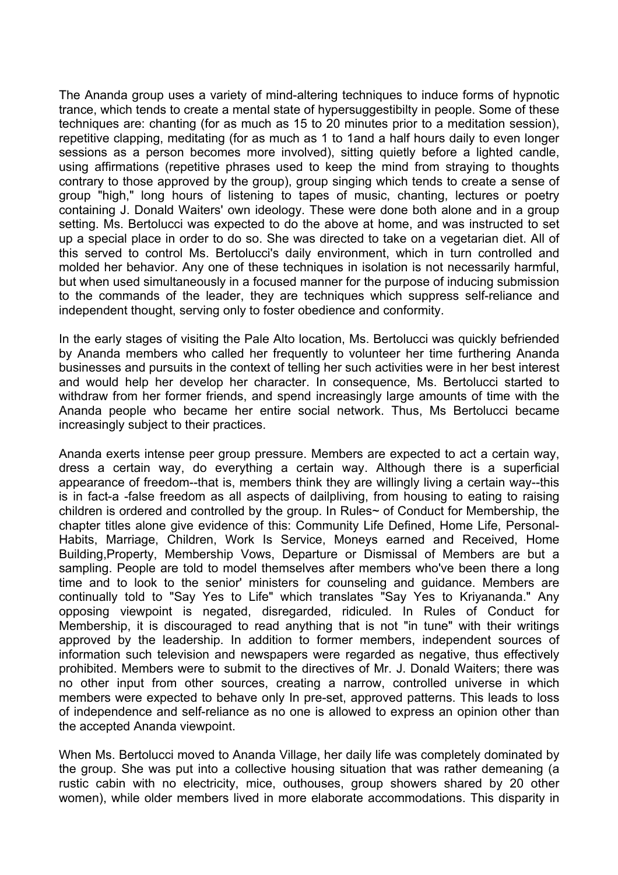The Ananda group uses a variety of mind-altering techniques to induce forms of hypnotic trance, which tends to create a mental state of hypersuggestibilty in people. Some of these techniques are: chanting (for as much as 15 to 20 minutes prior to a meditation session), repetitive clapping, meditating (for as much as 1 to 1and a half hours daily to even longer sessions as a person becomes more involved), sitting quietly before a lighted candle, using affirmations (repetitive phrases used to keep the mind from straying to thoughts contrary to those approved by the group), group singing which tends to create a sense of group "high," long hours of listening to tapes of music, chanting, lectures or poetry containing J. Donald Waiters' own ideology. These were done both alone and in a group setting. Ms. Bertolucci was expected to do the above at home, and was instructed to set up a special place in order to do so. She was directed to take on a vegetarian diet. All of this served to control Ms. Bertolucci's daily environment, which in turn controlled and molded her behavior. Any one of these techniques in isolation is not necessarily harmful, but when used simultaneously in a focused manner for the purpose of inducing submission to the commands of the leader, they are techniques which suppress self-reliance and independent thought, serving only to foster obedience and conformity.

In the early stages of visiting the Pale Alto location, Ms. Bertolucci was quickly befriended by Ananda members who called her frequently to volunteer her time furthering Ananda businesses and pursuits in the context of telling her such activities were in her best interest and would help her develop her character. In consequence, Ms. Bertolucci started to withdraw from her former friends, and spend increasingly large amounts of time with the Ananda people who became her entire social network. Thus, Ms Bertolucci became increasingly subject to their practices.

Ananda exerts intense peer group pressure. Members are expected to act a certain way, dress a certain way, do everything a certain way. Although there is a superficial appearance of freedom--that is, members think they are willingly living a certain way--this is in fact-a -false freedom as all aspects of dailpliving, from housing to eating to raising children is ordered and controlled by the group. In Rules~ of Conduct for Membership, the chapter titles alone give evidence of this: Community Life Defined, Home Life, Personal-Habits, Marriage, Children, Work Is Service, Moneys earned and Received, Home Building,Property, Membership Vows, Departure or Dismissal of Members are but a sampling. People are told to model themselves after members who've been there a long time and to look to the senior' ministers for counseling and guidance. Members are continually told to "Say Yes to Life" which translates "Say Yes to Kriyananda." Any opposing viewpoint is negated, disregarded, ridiculed. In Rules of Conduct for Membership, it is discouraged to read anything that is not "in tune" with their writings approved by the leadership. In addition to former members, independent sources of information such television and newspapers were regarded as negative, thus effectively prohibited. Members were to submit to the directives of Mr. J. Donald Waiters; there was no other input from other sources, creating a narrow, controlled universe in which members were expected to behave only In pre-set, approved patterns. This leads to loss of independence and self-reliance as no one is allowed to express an opinion other than the accepted Ananda viewpoint.

When Ms. Bertolucci moved to Ananda Village, her daily life was completely dominated by the group. She was put into a collective housing situation that was rather demeaning (a rustic cabin with no electricity, mice, outhouses, group showers shared by 20 other women), while older members lived in more elaborate accommodations. This disparity in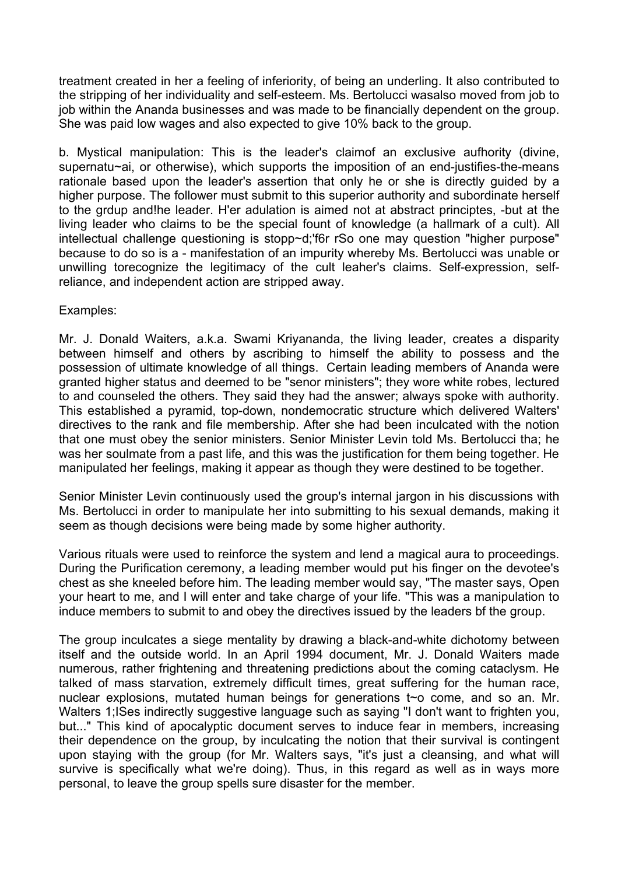treatment created in her a feeling of inferiority, of being an underling. It also contributed to the stripping of her individuality and self-esteem. Ms. Bertolucci wasalso moved from job to job within the Ananda businesses and was made to be financially dependent on the group. She was paid low wages and also expected to give 10% back to the group.

b. Mystical manipulation: This is the leader's claimof an exclusive aufhority (divine, supernatu~ai, or otherwise), which supports the imposition of an end-justifies-the-means rationale based upon the leader's assertion that only he or she is directly guided by a higher purpose. The follower must submit to this superior authority and subordinate herself to the grdup and!he leader. H'er adulation is aimed not at abstract principtes, -but at the living leader who claims to be the special fount of knowledge (a hallmark of a cult). All intellectual challenge questioning is stopp~d;'f6r rSo one may question "higher purpose" because to do so is a - manifestation of an impurity whereby Ms. Bertolucci was unable or unwilling torecognize the legitimacy of the cult leaher's claims. Self-expression, selfreliance, and independent action are stripped away.

Examples:

Mr. J. Donald Waiters, a.k.a. Swami Kriyananda, the living leader, creates a disparity between himself and others by ascribing to himself the ability to possess and the possession of ultimate knowledge of all things. Certain leading members of Ananda were granted higher status and deemed to be "senor ministers"; they wore white robes, lectured to and counseled the others. They said they had the answer; always spoke with authority. This established a pyramid, top-down, nondemocratic structure which delivered Walters' directives to the rank and file membership. After she had been inculcated with the notion that one must obey the senior ministers. Senior Minister Levin told Ms. Bertolucci tha; he was her soulmate from a past life, and this was the justification for them being together. He manipulated her feelings, making it appear as though they were destined to be together.

Senior Minister Levin continuously used the group's internal jargon in his discussions with Ms. Bertolucci in order to manipulate her into submitting to his sexual demands, making it seem as though decisions were being made by some higher authority.

Various rituals were used to reinforce the system and lend a magical aura to proceedings. During the Purification ceremony, a leading member would put his finger on the devotee's chest as she kneeled before him. The leading member would say, "The master says, Open your heart to me, and I will enter and take charge of your life. "This was a manipulation to induce members to submit to and obey the directives issued by the leaders bf the group.

The group inculcates a siege mentality by drawing a black-and-white dichotomy between itself and the outside world. In an April 1994 document, Mr. J. Donald Waiters made numerous, rather frightening and threatening predictions about the coming cataclysm. He talked of mass starvation, extremely difficult times, great suffering for the human race, nuclear explosions, mutated human beings for generations t~o come, and so an. Mr. Walters 1;ISes indirectly suggestive language such as saying "I don't want to frighten you, but..." This kind of apocalyptic document serves to induce fear in members, increasing their dependence on the group, by inculcating the notion that their survival is contingent upon staying with the group (for Mr. Walters says, "it's just a cleansing, and what will survive is specifically what we're doing). Thus, in this regard as well as in ways more personal, to leave the group spells sure disaster for the member.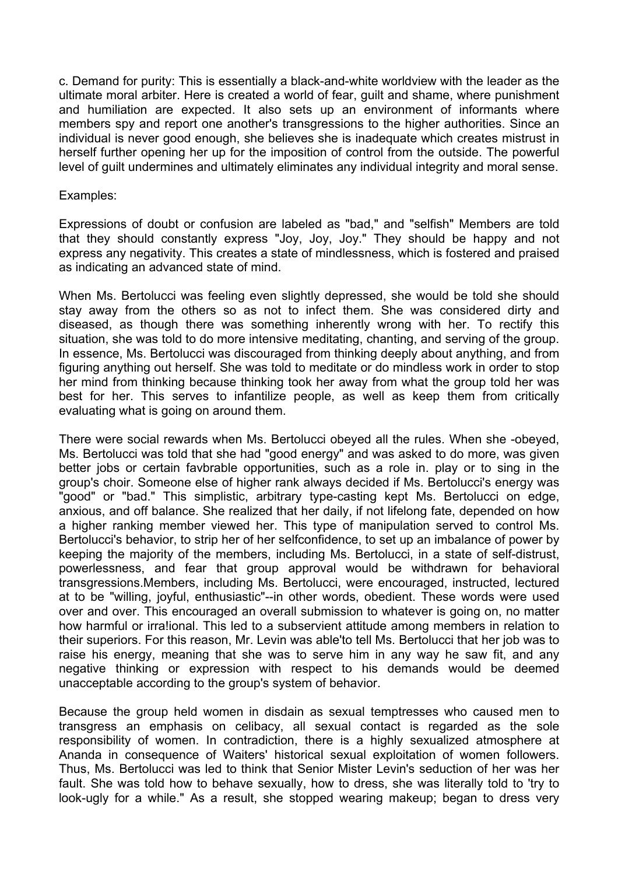c. Demand for purity: This is essentially a black-and-white worldview with the leader as the ultimate moral arbiter. Here is created a world of fear, guilt and shame, where punishment and humiliation are expected. It also sets up an environment of informants where members spy and report one another's transgressions to the higher authorities. Since an individual is never good enough, she believes she is inadequate which creates mistrust in herself further opening her up for the imposition of control from the outside. The powerful level of guilt undermines and ultimately eliminates any individual integrity and moral sense.

#### Examples:

Expressions of doubt or confusion are labeled as "bad," and "selfish" Members are told that they should constantly express "Joy, Joy, Joy." They should be happy and not express any negativity. This creates a state of mindlessness, which is fostered and praised as indicating an advanced state of mind.

When Ms. Bertolucci was feeling even slightly depressed, she would be told she should stay away from the others so as not to infect them. She was considered dirty and diseased, as though there was something inherently wrong with her. To rectify this situation, she was told to do more intensive meditating, chanting, and serving of the group. In essence, Ms. Bertolucci was discouraged from thinking deeply about anything, and from figuring anything out herself. She was told to meditate or do mindless work in order to stop her mind from thinking because thinking took her away from what the group told her was best for her. This serves to infantilize people, as well as keep them from critically evaluating what is going on around them.

There were social rewards when Ms. Bertolucci obeyed all the rules. When she -obeyed, Ms. Bertolucci was told that she had "good energy" and was asked to do more, was given better jobs or certain favbrable opportunities, such as a role in. play or to sing in the group's choir. Someone else of higher rank always decided if Ms. Bertolucci's energy was "good" or "bad." This simplistic, arbitrary type-casting kept Ms. Bertolucci on edge, anxious, and off balance. She realized that her daily, if not lifelong fate, depended on how a higher ranking member viewed her. This type of manipulation served to control Ms. Bertolucci's behavior, to strip her of her selfconfidence, to set up an imbalance of power by keeping the majority of the members, including Ms. Bertolucci, in a state of self-distrust, powerlessness, and fear that group approval would be withdrawn for behavioral transgressions.Members, including Ms. Bertolucci, were encouraged, instructed, lectured at to be "willing, joyful, enthusiastic"--in other words, obedient. These words were used over and over. This encouraged an overall submission to whatever is going on, no matter how harmful or irra!ional. This led to a subservient attitude among members in relation to their superiors. For this reason, Mr. Levin was able'to tell Ms. Bertolucci that her job was to raise his energy, meaning that she was to serve him in any way he saw fit, and any negative thinking or expression with respect to his demands would be deemed unacceptable according to the group's system of behavior.

Because the group held women in disdain as sexual temptresses who caused men to transgress an emphasis on celibacy, all sexual contact is regarded as the sole responsibility of women. In contradiction, there is a highly sexualized atmosphere at Ananda in consequence of Waiters' historical sexual exploitation of women followers. Thus, Ms. Bertolucci was led to think that Senior Mister Levin's seduction of her was her fault. She was told how to behave sexually, how to dress, she was literally told to 'try to look-ugly for a while." As a result, she stopped wearing makeup; began to dress very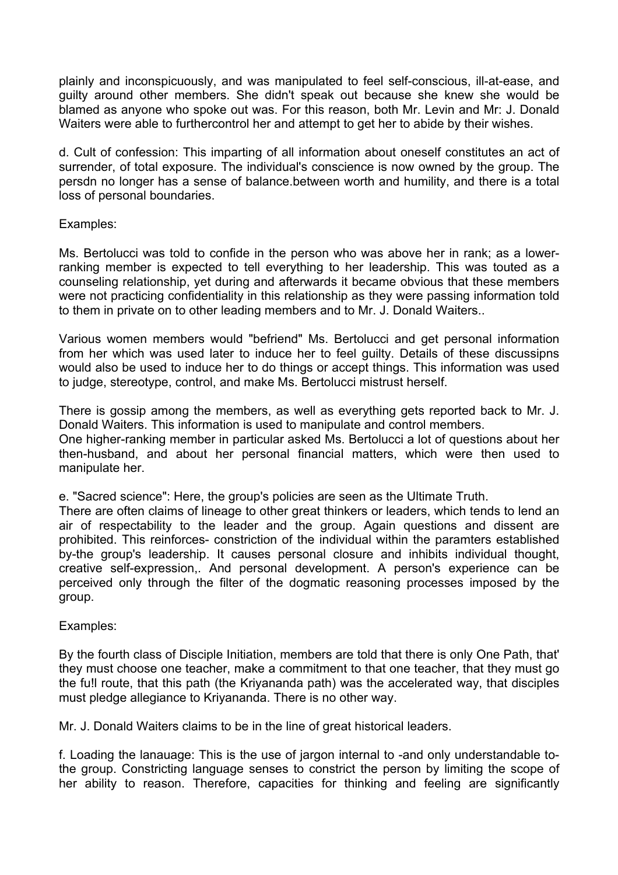plainly and inconspicuously, and was manipulated to feel self-conscious, ill-at-ease, and guilty around other members. She didn't speak out because she knew she would be blamed as anyone who spoke out was. For this reason, both Mr. Levin and Mr: J. Donald Waiters were able to furthercontrol her and attempt to get her to abide by their wishes.

d. Cult of confession: This imparting of all information about oneself constitutes an act of surrender, of total exposure. The individual's conscience is now owned by the group. The persdn no longer has a sense of balance.between worth and humility, and there is a total loss of personal boundaries.

# Examples:

Ms. Bertolucci was told to confide in the person who was above her in rank; as a lowerranking member is expected to tell everything to her leadership. This was touted as a counseling relationship, yet during and afterwards it became obvious that these members were not practicing confidentiality in this relationship as they were passing information told to them in private on to other leading members and to Mr. J. Donald Waiters..

Various women members would "befriend" Ms. Bertolucci and get personal information from her which was used later to induce her to feel guilty. Details of these discussipns would also be used to induce her to do things or accept things. This information was used to judge, stereotype, control, and make Ms. Bertolucci mistrust herself.

There is gossip among the members, as well as everything gets reported back to Mr. J. Donald Waiters. This information is used to manipulate and control members.

One higher-ranking member in particular asked Ms. Bertolucci a lot of questions about her then-husband, and about her personal financial matters, which were then used to manipulate her.

e. "Sacred science": Here, the group's policies are seen as the Ultimate Truth.

There are often claims of lineage to other great thinkers or leaders, which tends to lend an air of respectability to the leader and the group. Again questions and dissent are prohibited. This reinforces- constriction of the individual within the paramters established by-the group's leadership. It causes personal closure and inhibits individual thought, creative self-expression,. And personal development. A person's experience can be perceived only through the filter of the dogmatic reasoning processes imposed by the group.

# Examples:

By the fourth class of Disciple Initiation, members are told that there is only One Path, that' they must choose one teacher, make a commitment to that one teacher, that they must go the fu!l route, that this path (the Kriyananda path) was the accelerated way, that disciples must pledge allegiance to Kriyananda. There is no other way.

Mr. J. Donald Waiters claims to be in the line of great historical leaders.

f. Loading the lanauage: This is the use of jargon internal to -and only understandable tothe group. Constricting language senses to constrict the person by limiting the scope of her ability to reason. Therefore, capacities for thinking and feeling are significantly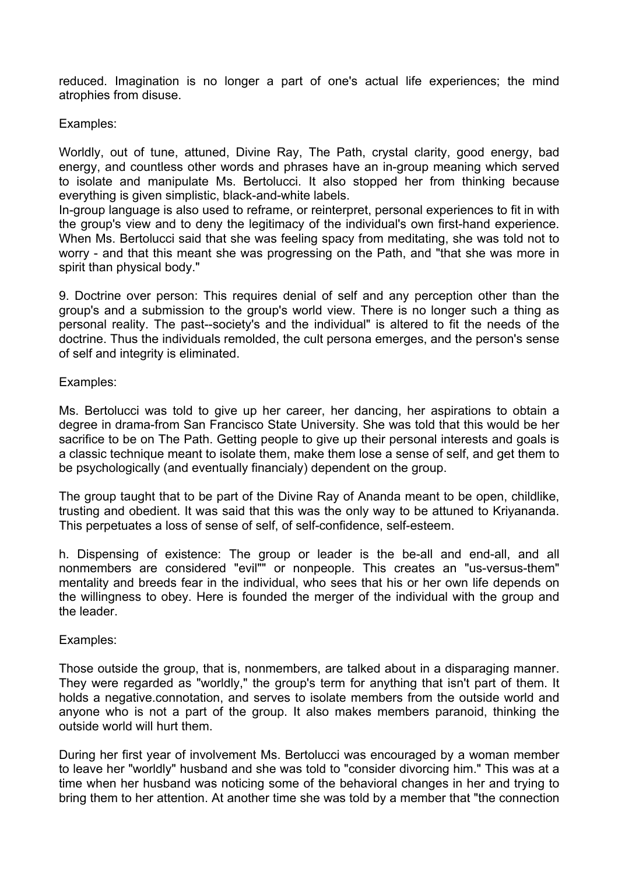reduced. Imagination is no longer a part of one's actual life experiences; the mind atrophies from disuse.

#### Examples:

Worldly, out of tune, attuned, Divine Ray, The Path, crystal clarity, good energy, bad energy, and countless other words and phrases have an in-group meaning which served to isolate and manipulate Ms. Bertolucci. It also stopped her from thinking because everything is given simplistic, black-and-white labels.

In-group language is also used to reframe, or reinterpret, personal experiences to fit in with the group's view and to deny the legitimacy of the individual's own first-hand experience. When Ms. Bertolucci said that she was feeling spacy from meditating, she was told not to worry - and that this meant she was progressing on the Path, and "that she was more in spirit than physical body."

9. Doctrine over person: This requires denial of self and any perception other than the group's and a submission to the group's world view. There is no longer such a thing as personal reality. The past--society's and the individual" is altered to fit the needs of the doctrine. Thus the individuals remolded, the cult persona emerges, and the person's sense of self and integrity is eliminated.

#### Examples:

Ms. Bertolucci was told to give up her career, her dancing, her aspirations to obtain a degree in drama-from San Francisco State University. She was told that this would be her sacrifice to be on The Path. Getting people to give up their personal interests and goals is a classic technique meant to isolate them, make them lose a sense of self, and get them to be psychologically (and eventually financialy) dependent on the group.

The group taught that to be part of the Divine Ray of Ananda meant to be open, childlike, trusting and obedient. It was said that this was the only way to be attuned to Kriyananda. This perpetuates a loss of sense of self, of self-confidence, self-esteem.

h. Dispensing of existence: The group or leader is the be-all and end-all, and all nonmembers are considered "evil"" or nonpeople. This creates an "us-versus-them" mentality and breeds fear in the individual, who sees that his or her own life depends on the willingness to obey. Here is founded the merger of the individual with the group and the leader.

#### Examples:

Those outside the group, that is, nonmembers, are talked about in a disparaging manner. They were regarded as "worldly," the group's term for anything that isn't part of them. It holds a negative.connotation, and serves to isolate members from the outside world and anyone who is not a part of the group. It also makes members paranoid, thinking the outside world will hurt them.

During her first year of involvement Ms. Bertolucci was encouraged by a woman member to leave her "worldly" husband and she was told to "consider divorcing him." This was at a time when her husband was noticing some of the behavioral changes in her and trying to bring them to her attention. At another time she was told by a member that "the connection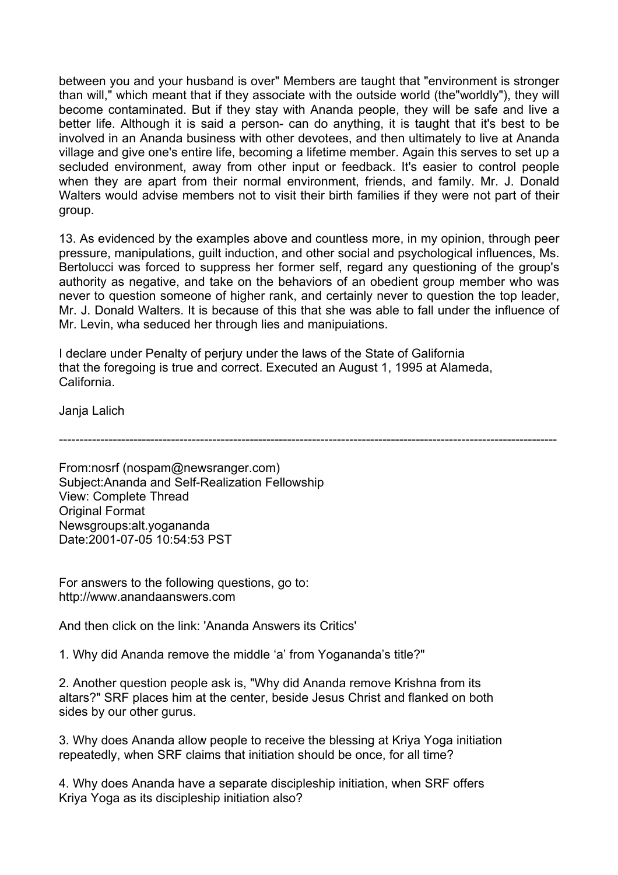between you and your husband is over" Members are taught that "environment is stronger than will," which meant that if they associate with the outside world (the"worldly"), they will become contaminated. But if they stay with Ananda people, they will be safe and live a better life. Although it is said a person- can do anything, it is taught that it's best to be involved in an Ananda business with other devotees, and then ultimately to live at Ananda village and give one's entire life, becoming a lifetime member. Again this serves to set up a secluded environment, away from other input or feedback. It's easier to control people when they are apart from their normal environment, friends, and family. Mr. J. Donald Walters would advise members not to visit their birth families if they were not part of their group.

13. As evidenced by the examples above and countless more, in my opinion, through peer pressure, manipulations, guilt induction, and other social and psychological influences, Ms. Bertolucci was forced to suppress her former self, regard any questioning of the group's authority as negative, and take on the behaviors of an obedient group member who was never to question someone of higher rank, and certainly never to question the top leader, Mr. J. Donald Walters. It is because of this that she was able to fall under the influence of Mr. Levin, wha seduced her through lies and manipuiations.

I declare under Penalty of perjury under the laws of the State of Galifornia that the foregoing is true and correct. Executed an August 1, 1995 at Alameda, California.

Janja Lalich

------------------------------------------------------------------------------------------------------------------------

From:nosrf (nospam@newsranger.com) Subject:Ananda and Self-Realization Fellowship View: Complete Thread **Original Format** Newsgroups:alt.yogananda Date:2001-07-05 10:54:53 PST

For answers to the following questions, go to: http://www.anandaanswers.com

And then click on the link: 'Ananda Answers its Critics'

1. Why did Ananda remove the middle 'a' from Yogananda's title?"

2. Another question people ask is, "Why did Ananda remove Krishna from its altars?" SRF places him at the center, beside Jesus Christ and flanked on both sides by our other gurus.

3. Why does Ananda allow people to receive the blessing at Kriya Yoga initiation repeatedly, when SRF claims that initiation should be once, for all time?

4. Why does Ananda have a separate discipleship initiation, when SRF offers Kriya Yoga as its discipleship initiation also?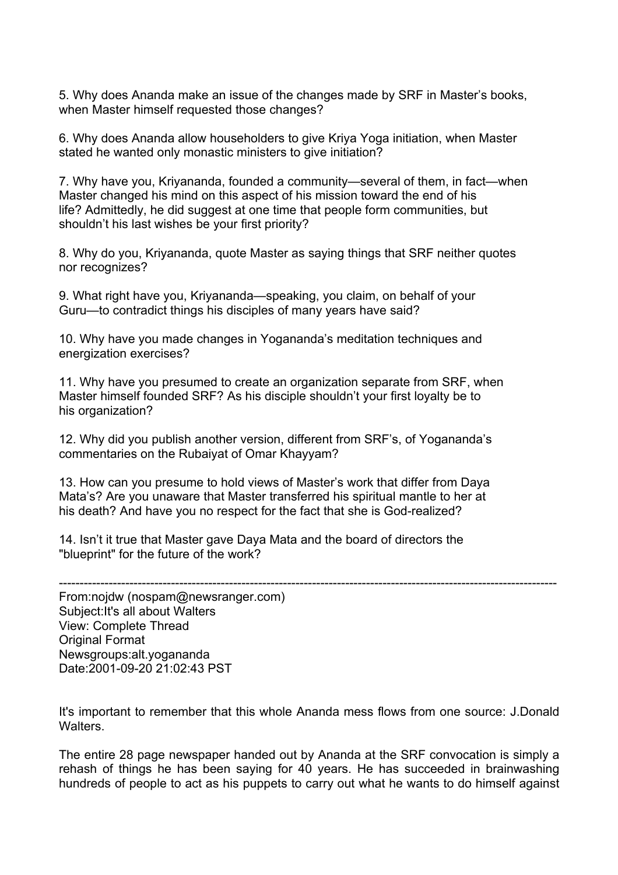5. Why does Ananda make an issue of the changes made by SRF in Master's books, when Master himself requested those changes?

6. Why does Ananda allow householders to give Kriya Yoga initiation, when Master stated he wanted only monastic ministers to give initiation?

7. Why have you, Kriyananda, founded a community—several of them, in fact—when Master changed his mind on this aspect of his mission toward the end of his life? Admittedly, he did suggest at one time that people form communities, but shouldn't his last wishes be your first priority?

8. Why do you, Kriyananda, quote Master as saying things that SRF neither quotes nor recognizes?

9. What right have you, Kriyananda—speaking, you claim, on behalf of your Guru—to contradict things his disciples of many years have said?

10. Why have you made changes in Yogananda's meditation techniques and energization exercises?

11. Why have you presumed to create an organization separate from SRF, when Master himself founded SRF? As his disciple shouldn't your first loyalty be to his organization?

12. Why did you publish another version, different from SRF's, of Yogananda's commentaries on the Rubaiyat of Omar Khayyam?

13. How can you presume to hold views of Master's work that differ from Daya Mata's? Are you unaware that Master transferred his spiritual mantle to her at his death? And have you no respect for the fact that she is God-realized?

14. Isn't it true that Master gave Daya Mata and the board of directors the "blueprint" for the future of the work?

------------------------------------------------------------------------------------------------------------------------

From:nojdw (nospam@newsranger.com) Subject:It's all about Walters View: Complete Thread Original Format Newsgroups:alt.yogananda Date:2001-09-20 21:02:43 PST

It's important to remember that this whole Ananda mess flows from one source: J.Donald **Walters** 

The entire 28 page newspaper handed out by Ananda at the SRF convocation is simply a rehash of things he has been saying for 40 years. He has succeeded in brainwashing hundreds of people to act as his puppets to carry out what he wants to do himself against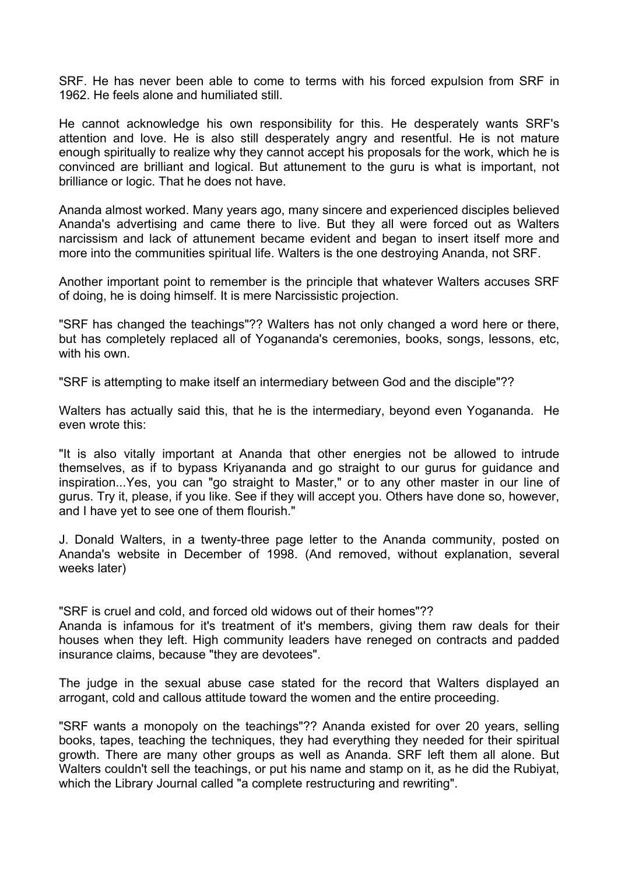SRF. He has never been able to come to terms with his forced expulsion from SRF in 1962. He feels alone and humiliated still.

He cannot acknowledge his own responsibility for this. He desperately wants SRF's attention and love. He is also still desperately angry and resentful. He is not mature enough spiritually to realize why they cannot accept his proposals for the work, which he is convinced are brilliant and logical. But attunement to the guru is what is important, not brilliance or logic. That he does not have.

Ananda almost worked. Many years ago, many sincere and experienced disciples believed Ananda's advertising and came there to live. But they all were forced out as Walters narcissism and lack of attunement became evident and began to insert itself more and more into the communities spiritual life. Walters is the one destroying Ananda, not SRF.

Another important point to remember is the principle that whatever Walters accuses SRF of doing, he is doing himself. It is mere Narcissistic projection.

"SRF has changed the teachings"?? Walters has not only changed a word here or there, but has completely replaced all of Yogananda's ceremonies, books, songs, lessons, etc, with his own

"SRF is attempting to make itself an intermediary between God and the disciple"??

Walters has actually said this, that he is the intermediary, beyond even Yogananda. He even wrote this:

"It is also vitally important at Ananda that other energies not be allowed to intrude themselves, as if to bypass Kriyananda and go straight to our gurus for guidance and inspiration...Yes, you can "go straight to Master," or to any other master in our line of gurus. Try it, please, if you like. See if they will accept you. Others have done so, however, and I have yet to see one of them flourish."

J. Donald Walters, in a twenty-three page letter to the Ananda community, posted on Ananda's website in December of 1998. (And removed, without explanation, several weeks later)

"SRF is cruel and cold, and forced old widows out of their homes"??

Ananda is infamous for it's treatment of it's members, giving them raw deals for their houses when they left. High community leaders have reneged on contracts and padded insurance claims, because "they are devotees".

The judge in the sexual abuse case stated for the record that Walters displayed an arrogant, cold and callous attitude toward the women and the entire proceeding.

"SRF wants a monopoly on the teachings"?? Ananda existed for over 20 years, selling books, tapes, teaching the techniques, they had everything they needed for their spiritual growth. There are many other groups as well as Ananda. SRF left them all alone. But Walters couldn't sell the teachings, or put his name and stamp on it, as he did the Rubiyat, which the Library Journal called "a complete restructuring and rewriting".